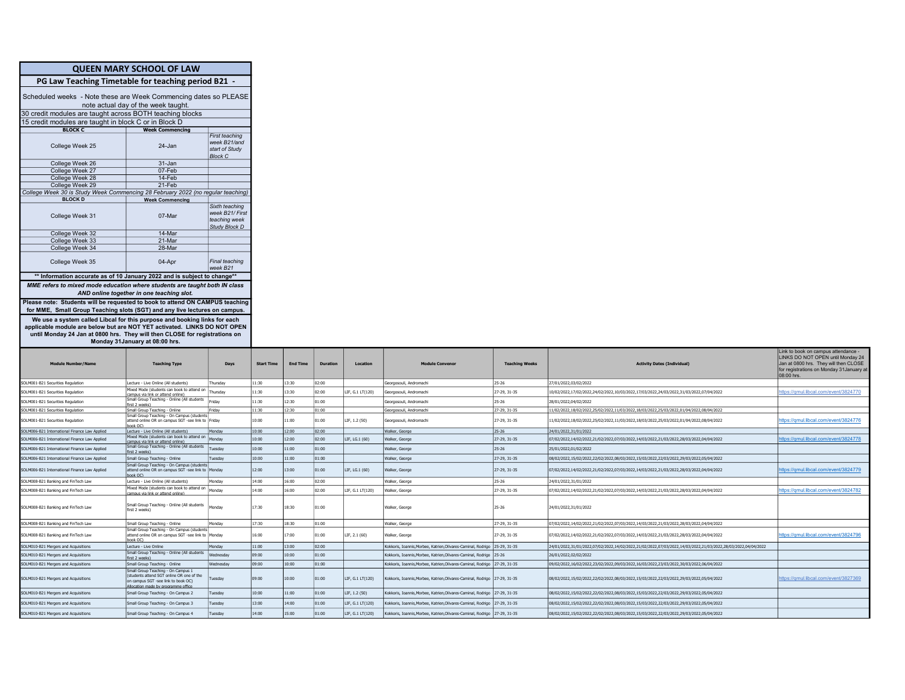|                                                                                                                                                                                                                                     | <b>QUEEN MARY SCHOOL OF LAW</b>                                                                                                   |                                                                           |                   |                 |                 |                  |                                                                            |                              |                                                                                                                                                                                    |
|-------------------------------------------------------------------------------------------------------------------------------------------------------------------------------------------------------------------------------------|-----------------------------------------------------------------------------------------------------------------------------------|---------------------------------------------------------------------------|-------------------|-----------------|-----------------|------------------|----------------------------------------------------------------------------|------------------------------|------------------------------------------------------------------------------------------------------------------------------------------------------------------------------------|
| PG Law Teaching Timetable for teaching period B21                                                                                                                                                                                   |                                                                                                                                   |                                                                           |                   |                 |                 |                  |                                                                            |                              |                                                                                                                                                                                    |
| Scheduled weeks - Note these are Week Commencing dates so PLEASE                                                                                                                                                                    |                                                                                                                                   |                                                                           |                   |                 |                 |                  |                                                                            |                              |                                                                                                                                                                                    |
|                                                                                                                                                                                                                                     | note actual day of the week taught.                                                                                               |                                                                           |                   |                 |                 |                  |                                                                            |                              |                                                                                                                                                                                    |
| 30 credit modules are taught across BOTH teaching blocks                                                                                                                                                                            |                                                                                                                                   |                                                                           |                   |                 |                 |                  |                                                                            |                              |                                                                                                                                                                                    |
| 15 credit modules are taught in block C or in Block D                                                                                                                                                                               |                                                                                                                                   |                                                                           |                   |                 |                 |                  |                                                                            |                              |                                                                                                                                                                                    |
| <b>BLOCK C</b>                                                                                                                                                                                                                      | <b>Week Commencing</b>                                                                                                            |                                                                           |                   |                 |                 |                  |                                                                            |                              |                                                                                                                                                                                    |
| College Week 25                                                                                                                                                                                                                     | 24-Jan                                                                                                                            | <b>First teaching</b><br>week B21/and<br>start of Study<br><b>Block C</b> |                   |                 |                 |                  |                                                                            |                              |                                                                                                                                                                                    |
| College Week 26                                                                                                                                                                                                                     | 31-Jan                                                                                                                            |                                                                           |                   |                 |                 |                  |                                                                            |                              |                                                                                                                                                                                    |
| College Week 27                                                                                                                                                                                                                     | 07-Feb                                                                                                                            |                                                                           |                   |                 |                 |                  |                                                                            |                              |                                                                                                                                                                                    |
| College Week 28                                                                                                                                                                                                                     | 14-Feb                                                                                                                            |                                                                           |                   |                 |                 |                  |                                                                            |                              |                                                                                                                                                                                    |
| College Week 29                                                                                                                                                                                                                     | $21-Feb$                                                                                                                          |                                                                           |                   |                 |                 |                  |                                                                            |                              |                                                                                                                                                                                    |
| College Week 30 is Study Week Commencing 28 February 2022 (no regular teaching)                                                                                                                                                     |                                                                                                                                   |                                                                           |                   |                 |                 |                  |                                                                            |                              |                                                                                                                                                                                    |
| <b>BLOCK D</b><br>College Week 31                                                                                                                                                                                                   | <b>Week Commencing</b><br>07-Mar                                                                                                  | Sixth teaching<br>week B21/ First<br>teaching week<br>Study Block D       |                   |                 |                 |                  |                                                                            |                              |                                                                                                                                                                                    |
| College Week 32                                                                                                                                                                                                                     | 14-Mar                                                                                                                            |                                                                           |                   |                 |                 |                  |                                                                            |                              |                                                                                                                                                                                    |
| College Week 33                                                                                                                                                                                                                     | 21-Mar                                                                                                                            |                                                                           |                   |                 |                 |                  |                                                                            |                              |                                                                                                                                                                                    |
| College Week 34                                                                                                                                                                                                                     | 28-Mar                                                                                                                            |                                                                           |                   |                 |                 |                  |                                                                            |                              |                                                                                                                                                                                    |
| College Week 35                                                                                                                                                                                                                     | 04-Apr                                                                                                                            | Final teaching<br>week B21                                                |                   |                 |                 |                  |                                                                            |                              |                                                                                                                                                                                    |
| ** Information accurate as of 10 January 2022 and is subject to change**                                                                                                                                                            |                                                                                                                                   |                                                                           |                   |                 |                 |                  |                                                                            |                              |                                                                                                                                                                                    |
|                                                                                                                                                                                                                                     |                                                                                                                                   |                                                                           |                   |                 |                 |                  |                                                                            |                              |                                                                                                                                                                                    |
| MME refers to mixed mode education where students are taught both IN class                                                                                                                                                          | AND online together in one teaching slot.                                                                                         |                                                                           |                   |                 |                 |                  |                                                                            |                              |                                                                                                                                                                                    |
| for MME, Small Group Teaching slots (SGT) and any live lectures on campus.                                                                                                                                                          |                                                                                                                                   |                                                                           |                   |                 |                 |                  |                                                                            |                              |                                                                                                                                                                                    |
| We use a system called Libcal for this purpose and booking links for each<br>applicable module are below but are NOT YET activated. LINKS DO NOT OPEN<br>until Monday 24 Jan at 0800 hrs. They will then CLOSE for registrations on | Monday 31 January at 08:00 hrs.                                                                                                   |                                                                           |                   |                 |                 |                  |                                                                            |                              |                                                                                                                                                                                    |
| <b>Module Number/Name</b>                                                                                                                                                                                                           | <b>Teaching Type</b>                                                                                                              | Days                                                                      | <b>Start Time</b> | <b>End Time</b> | <b>Duration</b> | Location         | <b>Module Conveno</b>                                                      | <b>Teaching Weeks</b>        | <b>Activity Dates (Individual)</b>                                                                                                                                                 |
| OLM001-B21 Securities Regulation                                                                                                                                                                                                    | Lecture - Live Online (All students)                                                                                              | Thursday                                                                  | 11:30             | 3:30            | 02:00           |                  | Georgosouli, Andromachi                                                    | 25-26                        | 27/01/2022,03/02/2022                                                                                                                                                              |
| SOLM001-B21 Securities Regulation                                                                                                                                                                                                   | Mixed Mode (students can book to attend on                                                                                        | Thursday                                                                  | 11:30             | 13:30           | 02:00           | LIF, G.1 LT(120) | Georgosouli, Andromachi                                                    | 27-29, 31-35                 | 10/02/2022,17/02/2022,24/02/2022,10/03/2022,17/03/2022,24/03/2022,31/03/2022,07/04/2022                                                                                            |
|                                                                                                                                                                                                                                     | campus via link or attend online)<br>Small Group Teaching - Online (All students                                                  |                                                                           |                   |                 |                 |                  |                                                                            |                              |                                                                                                                                                                                    |
| OLM001-B21 Securities Regulation                                                                                                                                                                                                    | first 2 weeks)                                                                                                                    | Friday                                                                    | 11:30             | 12:30           | 01:00           |                  | Georgosouli, Andromachi                                                    | $25 - 26$                    | 28/01/2022.04/02/2022                                                                                                                                                              |
| SOLM001-B21 Securities Regulation<br>OLM001-B21 Securities Regulation                                                                                                                                                               | Small Group Teaching - Online<br>Small Group Teaching - On Campus (students<br>attend online OR on campus SGT -see link to Friday | Fridav                                                                    | 11:30<br>10:00    | 12:30<br>1:00   | 01:00<br>01:00  | LIF, 1.2 (50)    | Georgosouli, Andromachi<br>Georgosouli, Andromachi                         | 27-29, 31-35<br>27-29, 31-35 | 11/02/2022,18/02/2022,25/02/2022,11/03/2022,18/03/2022,25/03/2022,01/04/2022,08/04/2022<br>1/02/2022,18/02/2022,25/02/2022,11/03/2022,18/03/2022,25/03/2022,01/04/2022,08/04/2022  |
| OLM006-B21 International Finance Law Applied                                                                                                                                                                                        | ook OC)                                                                                                                           | Monday                                                                    | 10:00             | 12:00           | 02:00           |                  | Walker, George                                                             | $25 - 26$                    | 24/01/2022,31/01/2022                                                                                                                                                              |
| OLM006-B21 International Finance Law Applied                                                                                                                                                                                        | Lecture - Live Online (All students)<br>Mixed Mode (students can book to attend on                                                | Monday                                                                    | 10:00             | 12:00           | 02:00           | LIF. LG.1 (60)   | Walker, George                                                             | 27-29, 31-35                 | 07/02/2022,14/02/2022,21/02/2022,07/03/2022,14/03/2022,21/03/2022,28/03/2022,04/04/2022                                                                                            |
|                                                                                                                                                                                                                                     | ampus via link or attend online).<br>Small Group Teaching - Online (All students                                                  | Tuesday                                                                   | 10:00             | 1:00            | 01:00           |                  |                                                                            | 25-26                        | 25/01/2022.01/02/2022                                                                                                                                                              |
| OLM006-B21 International Finance Law Applied                                                                                                                                                                                        | rst 2 weeks)                                                                                                                      |                                                                           |                   |                 |                 |                  | Walker, George                                                             |                              |                                                                                                                                                                                    |
| SOLM006-B21 International Finance Law Applied<br>SOLM006-B21 International Finance Law Applied                                                                                                                                      | Small Group Teaching - Online<br>Small Group Teaching - On Campus (students<br>attend online OR on campus SGT -see link to        | Tuesdav<br>Monday                                                         | 10:00<br>12:00    | 11:00<br>13:00  | 01:00<br>01:00  | LIF, LG.1 (60)   | Walker, George<br>Walker, George                                           | 27-29, 31-35<br>27-29, 31-35 | 08/02/2022,15/02/2022,22/02/2022,08/03/2022,15/03/2022,22/03/2022,29/03/2022,05/04/2022<br>07/02/2022,14/02/2022,21/02/2022,07/03/2022,14/03/2022,21/03/2022,28/03/2022,04/04/2022 |
|                                                                                                                                                                                                                                     | nok OC)                                                                                                                           |                                                                           |                   |                 |                 |                  |                                                                            |                              |                                                                                                                                                                                    |
| SOLM008-B21 Banking and FinTech Law                                                                                                                                                                                                 | Lecture - Live Online (All students)<br>Mixed Mode (students can book to attend on                                                | Monday                                                                    | 14:00             | 16:00           | 02:00           |                  | Walker, George                                                             | 25-26                        | 24/01/2022,31/01/2022                                                                                                                                                              |
| SOLM008-B21 Banking and FinTech Law                                                                                                                                                                                                 | mpus via link or attend online)                                                                                                   | Monday                                                                    | 14:00             | 16:00           | 02:00           | LIF, G.1 LT(120) | Walker, George                                                             | 27-29, 31-35                 | 07/02/2022,14/02/2022,21/02/2022,07/03/2022,14/03/2022,21/03/2022,28/03/2022,04/04/2022                                                                                            |
| SOLM008-B21 Banking and FinTech Lav                                                                                                                                                                                                 | Small Group Teaching - Online (All students<br>first 2 weeks)                                                                     | Monday                                                                    | 17:30             | 18:30           | 01:00           |                  | Walker, George                                                             | 25-26                        | 24/01/2022,31/01/2022                                                                                                                                                              |
| SOLM008-B21 Banking and FinTech Law                                                                                                                                                                                                 | Small Group Teaching - Online                                                                                                     | Monday                                                                    | 17:30             | 18:30           | 01:00           |                  | Walker, George                                                             | 27-29, 31-35                 | 07/02/2022,14/02/2022,21/02/2022,07/03/2022,14/03/2022,21/03/2022,28/03/2022,04/04/2022                                                                                            |
| SOLM008-B21 Banking and FinTech Law                                                                                                                                                                                                 | Small Group Teaching - On Campus (student<br>attend online OR on campus SGT -see link to Monday<br>ook OC)                        |                                                                           | 16:00             | 17:00           | 01:00           | LIF. 2.1 (60)    | Walker, George                                                             | 27-29, 31-35                 | 07/02/2022,14/02/2022,21/02/2022,07/03/2022,14/03/2022,21/03/2022,28/03/2022,04/04/2022                                                                                            |
| OLM010-B21 Mergers and Acquisitions                                                                                                                                                                                                 | Lecture - Live Online                                                                                                             | Monday                                                                    | 11:00             | 13:00           | 02:00           |                  | Kokkoris, Ioannis, Morbee, Katrien, Olivares-Caminal, Rodrigo 25-29, 31-35 |                              |                                                                                                                                                                                    |
| SOLM010-B21 Mergers and Acquisitions                                                                                                                                                                                                | Small Group Teaching - Online (All students                                                                                       | Wednesday                                                                 | 09:00             | 10:00           | 01:00           |                  | Kokkoris, Ioannis, Morbee, Katrien, Olivares-Caminal, Rodrigo 25-26        |                              | 24/01/2022,31/01/2022,07/02/2022,14/02/2022,21/02/2022,07/03/2022,14/03/2022,21/03/2022,28/03/2022,04/04/2022<br>26/01/2022.02/02/2022                                             |
| SOLM010-B21 Mergers and Acquisitions                                                                                                                                                                                                | irst 2 weeks)<br>Small Group Teaching - Online                                                                                    | Wednesday                                                                 | 09:00             | 10:00           | 01:00           |                  | Kokkoris, Ioannis, Morbee, Katrien, Olivares-Caminal, Rodrigo 27-29, 31-35 |                              | 09/02/2022,16/02/2022,23/02/2022,09/03/2022,16/03/2022,23/03/2022,30/03/2022,06/04/2022                                                                                            |
| SOLM010-B21 Mergers and Acquisitions                                                                                                                                                                                                | Small Group Teaching - On Campus 1<br>(students attend SGT online OR one of the<br>on campus SGT -see link to book OC)            | Tuesdav                                                                   | 09:00             | 10:00           | 01:00           | LIF, G.1 LT(120) | Kokkoris, Ioannis, Morbee, Katrien, Olivares-Caminal, Rodrigo 27-29, 31-35 |                              | 08/02/2022,15/02/2022,22/02/2022,08/03/2022,15/03/2022,22/03/2022,29/03/2022,05/04/2022                                                                                            |
| SOLM010-B21 Mergers and Acquisitions                                                                                                                                                                                                | <b>Moration made by programme office</b><br>Small Group Teaching - On Campus 2                                                    | Tuesdav                                                                   | 10:00             | 11:00           | 01:00           | LIF, 1.2 (50)    | Kokkoris, Ioannis, Morbee, Katrien, Olivares-Caminal, Rodrigo 27-29, 31-35 |                              | 08/02/2022,15/02/2022,22/02/2022,08/03/2022,15/03/2022,22/03/2022,29/03/2022,05/04/2022                                                                                            |
| OLM010-B21 Mergers and Acquisitions                                                                                                                                                                                                 | Small Group Teaching - On Campus 3                                                                                                | Tuesday                                                                   | 13:00             | 14:00           | 01:00           | LIF, G.1 LT(120) | Kokkoris, Ioannis, Morbee, Katrien, Olivares-Caminal, Rodrigo 27-29, 31-35 |                              | 08/02/2022,15/02/2022,22/02/2022,08/03/2022,15/03/2022,22/03/2022,29/03/2022,05/04/2022                                                                                            |
| OLM010-B21 Mergers and Acquisitions                                                                                                                                                                                                 | Small Group Teaching - On Campus 4                                                                                                | Tuesday                                                                   | 14:00             | 15:00           | 01:00           | LIF, G.1 LT(120) | Kokkoris, Ioannis, Morbee, Katrien, Olivares-Caminal, Rodrigo 27-29, 31-35 |                              | 08/02/2022,15/02/2022,22/02/2022,08/03/2022,15/03/2022,22/03/2022,29/03/2022,05/04/2022                                                                                            |

Link to book on campus attendance - LINKS DO NOT OPEN until Monday 24 Jan at 0800 hrs. They will then CLOSE for registrations on Monday 31January at 08:00 hrs.

https://gmul.libcal.com/event/3824770

ftps://qmul.libcal.com/event/3824776

https://qmul.libcal.com/event/3824778

https://qmul.libcal.com/event/3824779

https://qmul.libcal.com/event/3824782

https://qmul.libcal.com/event/3824796

https://gmul.libcal.com/event/3827369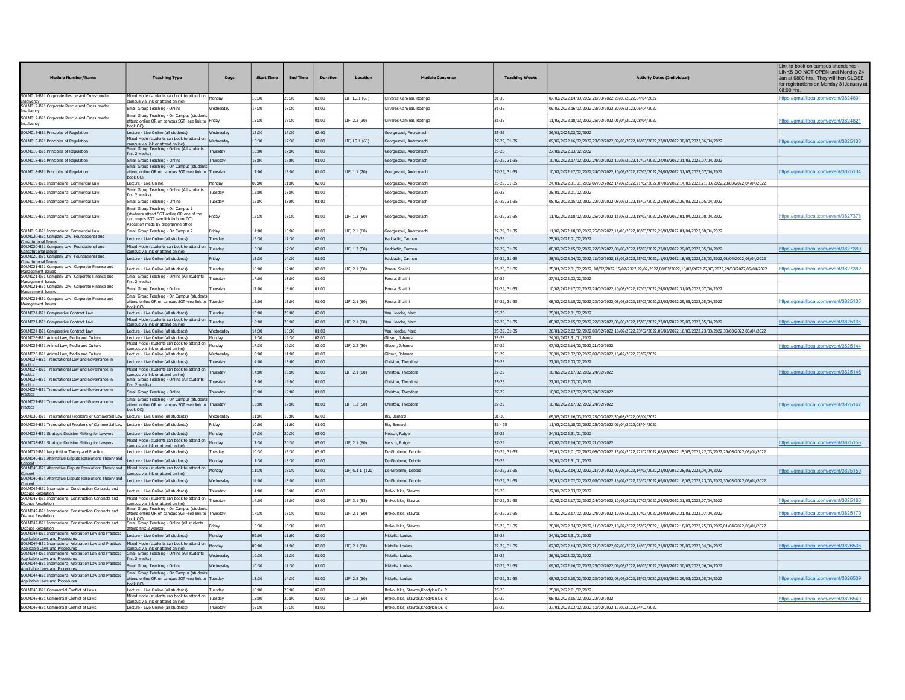| <b>Module Number/Name</b>                                                                                                          | <b>Teaching Type</b>                                                                                                         | Days      | <b>Start Time</b> | <b>End Time</b> | <b>Duration</b> | Location         | <b>Module Convenor</b>               | <b>Teaching Weeks</b> | <b>Activity Dates (Individual)</b>                                                                            | Link to book on campus attendance -<br>LINKS DO NOT OPEN until Monday 24<br>Jan at 0800 hrs. They will then CLOSE<br>for registrations on Monday 31 January a<br>08:00 hrs |
|------------------------------------------------------------------------------------------------------------------------------------|------------------------------------------------------------------------------------------------------------------------------|-----------|-------------------|-----------------|-----------------|------------------|--------------------------------------|-----------------------|---------------------------------------------------------------------------------------------------------------|----------------------------------------------------------------------------------------------------------------------------------------------------------------------------|
| SOLM017-B21 Corporate Rescue and Cross-border                                                                                      | Mixed Mode (students can book to attend on   Monday                                                                          |           | 18:30             | 20:30           | 02:00           | LIF. LG.1 (60)   | Olivares-Caminal, Rodrigo            | $31 - 35$             | 07/03/2022.14/03/2022.21/03/2022.28/03/2022.04/04/2022                                                        | https://gmul.libcal.com/event/3824801                                                                                                                                      |
| isolvenc<br>SOLM017-B21 Corporate Rescue and Cross-border                                                                          | smous via link or attend online?<br>Small Group Teaching - Online                                                            | Wednesday | 17:30             | 18:30           | 01:00           |                  | Olivares-Caminal, Rodrigo            | $31 - 35$             | 09/03/2022,16/03/2022,23/03/2022,30/03/2022,06/04/2022                                                        |                                                                                                                                                                            |
| nsolvenc<br>SOLM017-B21 Corporate Rescue and Cross-border                                                                          | Small Group Teaching - On Campus (students                                                                                   |           |                   |                 |                 |                  |                                      |                       |                                                                                                               |                                                                                                                                                                            |
| nsolvencv                                                                                                                          | attend online OR on campus SGT -see link to Friday<br>book OC)                                                               |           | 15:30             | 16:30           | 01:00           | LIF, 2.2 (30)    | Olivares-Caminal, Rodrigo            | $31 - 35$             | 11/03/2022,18/03/2022,25/03/2022,01/04/2022,08/04/2022                                                        | ttps://gmul.libcal.com/event/3824821                                                                                                                                       |
| SOLM018-B21 Principles of Regulation                                                                                               | Lecture - Live Online (all students)                                                                                         | Wednesdav | 15:30             | 17:30           | 02:00           |                  | Georgosouli, Andromachi              | $25 - 26$             | 26/01/2022,02/02/2022                                                                                         |                                                                                                                                                                            |
| SOLM018-B21 Principles of Regulation                                                                                               | Mixed Mode (students can book to attend on<br>campus via link or attend online?                                              | Wednesday | 15:30             | 17:30           | 02:00           | LIF, LG.1 (60)   | Georgosouli, Andromach               | 27-29, 31-35          | 09/02/2022,16/02/2022,23/02/2022,09/03/2022,16/03/2022,23/03/2022,30/03/2022,06/04/2022                       | https://gmul.libcal.com/event/3825133                                                                                                                                      |
| SOLM018-B21 Principles of Regulation                                                                                               | Small Group Teaching - Online (All students                                                                                  | Thursday  | 16:00             | 17:00           | 01:00           |                  | Georgosouli, Andromachi              | $25 - 26$             | 27/01/2022.03/02/2022                                                                                         |                                                                                                                                                                            |
| SOLM018-B21 Principles of Regulation                                                                                               | first 2 weeks)<br>Small Group Teaching - Online                                                                              | Thursday  | 16:00             | 17:00           | 01:00           |                  | Georgosouli, Andromachi              | 27-29, 31-35          | 10/02/2022,17/02/2022,24/02/2022,10/03/2022,17/03/2022,24/03/2022,31/03/2022,07/04/2022                       |                                                                                                                                                                            |
| SOLM018-B21 Principles of Regulation                                                                                               | Small Group Teaching - On Campus (student<br>attend online OR on campus SGT -see link to Thursday                            |           | 17:00             | 18:00           | 01:00           | LIF. 1.1 (20)    | Georgosouli, Andromachi              | 27-29, 31-35          | 10/02/2022,17/02/2022,24/02/2022,10/03/2022,17/03/2022,24/03/2022,31/03/2022,07/04/2022                       | https://gmul.libcal.com/event/3825134                                                                                                                                      |
| SOLM019-B21 International Commercial Lav                                                                                           | hook OC)<br>Lecture - Live Online                                                                                            | Monday    | 09:00             | 11:00           | 02:00           |                  | Georgosouli, Andromachi              | 25-29, 31-35          | 24/01/2022,31/01/2022,07/02/2022,14/02/2022,21/02/2022,07/03/2022,14/03/2022,21/03/2022,28/03/2022,04/04/2022 |                                                                                                                                                                            |
| SOLM019-B21 International Commercial Law                                                                                           | Small Group Teaching - Online (All students                                                                                  | Tuesdav   | 12:00             | 13:00           | 01:00           |                  | Georgosouli, Andromachi              | $25 - 26$             | 25/01/2022.01/02/2022                                                                                         |                                                                                                                                                                            |
| SOLM019-B21 International Commercial Law                                                                                           | irst 2 weeks<br>Small Group Teaching - Online                                                                                | uesdav    | 12:00             | 13:00           | 01:00           |                  | Georgosouli, Andromachi              | 27-29, 31-35          | 08/02/2022.15/02/2022.22/02/2022.08/03/2022.15/03/2022.22/03/2022.29/03/2022.05/04/2022                       |                                                                                                                                                                            |
|                                                                                                                                    | Small Group Teaching - On Campus 1                                                                                           |           |                   |                 |                 |                  |                                      |                       |                                                                                                               |                                                                                                                                                                            |
| SOLM019-B21 International Commercial Law                                                                                           | students attend SGT online OR one of the<br>on campus SGT -see link to book OC)<br>Allocation made by programme office       | Friday    | 12:30             | 13:30           | 01:00           | LIF, 1.2 (50)    | Georgosouli, Andromach               | 27-29, 31-35          | 11/02/2022,18/02/2022,25/02/2022,11/03/2022,18/03/2022,25/03/2022,01/04/2022,08/04/2022                       | https://qmul.libcal.com/event/3827378                                                                                                                                      |
| SOLM019-B21 International Commercial Law                                                                                           | Small Group Teaching - On Campus 2                                                                                           | Friday    | 14:00             | 15:00           | 01:00           | LIF. 2.1 (60)    | Georgosouli, Andromachi              | 27-29, 31-35          | 11/02/2022,18/02/2022,25/02/2022,11/03/2022,18/03/2022,25/03/2022,01/04/2022,08/04/2022                       |                                                                                                                                                                            |
| SOLM020-B21 Company Law: Foundational and<br>onstitutional Issues                                                                  | Lecture - Live Online (all students)                                                                                         | uesday    | 15:30             | 17:30           | 02:00           |                  | Haddadin, Carmer                     | $25 - 26$             | 25/01/2022,01/02/2022                                                                                         |                                                                                                                                                                            |
| OLM020-B21 Company Law: Foundational and<br>nnstitutional Issues                                                                   | Mixed Mode (students can book to attend on<br>campus via link or attend online'                                              | Tuesdav   | 15:30             | 17:30           | 02:00           | LIF. 1.2 (50)    | Haddadin, Carmen                     | 27-29, 31-35          | 08/02/2022,15/02/2022,22/02/2022,08/03/2022,15/03/2022,22/03/2022,29/03/2022,05/04/2022                       | ttps://gmul.libcal.com/event/382738(                                                                                                                                       |
| SOLM020-B21 Company Law: Foundational and                                                                                          | Lecture - Live Online (all students)                                                                                         | Friday    | 13:30             | 14:30           | 01:00           |                  | Haddadin, Carmer                     | 25-29, 31-35          | 28/01/2022,04/02/2022,11/02/2022,18/02/2022,25/02/2022,11/03/2022,18/03/2022,25/03/2022,01/04/2022,08/04/2022 |                                                                                                                                                                            |
| Constitutional Issues<br>SOLM021-B21 Company Law: Corporate Finance and                                                            | Lecture - Live Online (all students)                                                                                         | uesdav    | 10:00             | 12:00           | 02:00           | LIF. 2.1 (60)    | Perera, Shalini                      | 25-29, 31-35          | 25/01/2022,01/02/2022,08/02/2022,15/02/2022,22/02/2022,08/03/2022,15/03/2022,22/03/2022,29/03/2022,05/04/2022 | https://gmul.libcal.com/event/3827382                                                                                                                                      |
| lanagement Issues<br>OLM021-B21 Company Law: Corporate Finance and                                                                 | Small Group Teaching - Online (All students                                                                                  |           |                   |                 |                 |                  |                                      |                       |                                                                                                               |                                                                                                                                                                            |
| fanagement Issues                                                                                                                  | <u>irst 2 weeks)</u>                                                                                                         | Thursday  | 17:00             | 18:00           | 01:00           |                  | Perera, Shalin                       | 25-26                 | 27/01/2022,03/02/2022                                                                                         |                                                                                                                                                                            |
| SOLM021-B21 Company Law: Corporate Finance and<br>Management Issues                                                                | Small Group Teaching - Online                                                                                                | Thursday  | 17:00             | 18:00           | 01:00           |                  | Perera, Shalin                       | 27-29, 31-35          | 10/02/2022,17/02/2022,24/02/2022,10/03/2022,17/03/2022,24/03/2022,31/03/2022,07/04/2022                       |                                                                                                                                                                            |
| SOLM021-B21 Company Law: Corporate Finance and<br>Management Issues                                                                | Small Group Teaching - On Campus (stude<br>attend online OR on campus SGT -see link to<br>ook OC)                            | Tuesday   | 12:00             | 13:00           | 01:00           | LIF, 2.1 (60)    | erera, Shalini                       | 27-29, 31-35          | 08/02/2022,15/02/2022,22/02/2022,08/03/2022,15/03/2022,22/03/2022,29/03/2022,05/04/2022                       | tps://qmul.libcal.com/event/382513                                                                                                                                         |
| SOLM024-B21 Comparative Contract Law                                                                                               | Lecture - Live Online (all students)                                                                                         | Tuesday   | 18:00             | 20:00           | 02:00           |                  | Van Hoecke, Marc                     | 25-26                 | 25/01/2022,01/02/2022                                                                                         |                                                                                                                                                                            |
| SOLM024-B21 Comparative Contract Law                                                                                               | Mixed Mode (students can book to attend on<br>campus via link or attend online)                                              | Tuesday   | 18:00             | 20:00           | 02:00           | LIF, 2.1 (60)    | Van Hoecke, Maro                     | 27-29, 31-35          | 08/02/2022,15/02/2022,22/02/2022,08/03/2022,15/03/2022,22/03/2022,29/03/2022,05/04/2022                       | ttps://gmul.libcal.com/event/3825136                                                                                                                                       |
| SOLM024-B21 Comparative Contract Lav                                                                                               | Lecture - Live Online (all students)                                                                                         | Modnosda  | 14:30             | 15:30           | 01:00           |                  | Van Hoecke, Maro                     | 25-29, 31-35          | 26/01/2022,02/02/2022,09/02/2022,16/02/2022,23/02/2022,09/03/2022,16/03/2022,23/03/2022,30/03/2022,06/04/2022 |                                                                                                                                                                            |
| OLM026-B21 Animal Law, Media and Culture                                                                                           | Lecture - Live Online (all students)<br>Mixed Mode (students can book to attend on                                           | Mondav    | 17:30             | 19:30           | 02:00           |                  | Gibson, Johanna                      | $25 - 26$             | 24/01/2022.31/01/2022                                                                                         |                                                                                                                                                                            |
| OLM026-B21 Animal Law, Media and Culture                                                                                           | campus via link or attend online)                                                                                            | Monday    | 17:30             | 19:30           | 02:00           | LIF, 2.2 (30)    | Gibson, Johanna                      | 27-29                 | 07/02/2022,14/02/2022,21/02/2022                                                                              | tps://gmul.libcal.com/event/3825144                                                                                                                                        |
| SOLM026-B21 Animal Law, Media and Culture<br>SOLM027-B21 Transnational Law and Governance in                                       | Lecture - Live Online (all students)                                                                                         | Wednesday | 10:00             | 11:00           | 01:00           |                  | Gibson, Johanna                      | 25-29                 | 26/01/2022,02/02/2022,09/02/2022,16/02/2022,23/02/2022                                                        |                                                                                                                                                                            |
|                                                                                                                                    | Lecture - Live Online (all students)<br>Mixed Mode (students can book to attend on                                           | Thursdav  | 14:00             | 16:00           | 02:00           |                  | Christou, Theodora                   | 25-26                 | 27/01/2022.03/02/2022                                                                                         |                                                                                                                                                                            |
| SOLM027-B21 Transnational Law and Governance in<br>actice                                                                          | campus via link or attend online)<br>Small Group Teaching - Online (All students                                             | Thursday  | 14:00             | 16:00           | 02:00           | LIF. 2.1 (60)    | Christou, Theodora                   | $27 - 29$             | 10/02/2022.17/02/2022.24/02/2022                                                                              | ttps://gmul.libcal.com/event/3825146                                                                                                                                       |
| OLM027-B21 Transnational Law and Governance in                                                                                     | irst 2 weeks)                                                                                                                | Thursday  | 18:00             | 19:00           | 01:00           |                  | Christou, Theodora                   | 25-26                 | 27/01/2022.03/02/2022                                                                                         |                                                                                                                                                                            |
| SOLM027-B21 Transnational Law and Governance in<br>ractice                                                                         | Small Group Teaching - Online                                                                                                | Thursday  | 18:00             | 19:00           | 01:00           |                  | Christou, Theodora                   | $27 - 29$             | 10/02/2022,17/02/2022,24/02/2022                                                                              |                                                                                                                                                                            |
| SOLM027-B21 Transnational Law and Governance in                                                                                    | Small Group Teaching - On Campus (student                                                                                    |           |                   |                 |                 |                  |                                      |                       |                                                                                                               |                                                                                                                                                                            |
| ractice                                                                                                                            | attend online OR on campus SGT -see link to<br>ook OC)                                                                       | Thursda   | 16:00             | 17:00           | 01:00           | LIF, 1.2 (50)    | Christou, Theodora                   | $27 - 29$             | 10/02/2022,17/02/2022,24/02/2022                                                                              | ps://gmul.libcal.com/event/3825147                                                                                                                                         |
| SOLM036-B21 Transnational Problems of Commercial Law                                                                               | Lecture - Live Online (all students)                                                                                         | Wednesday | 11:00             | 13:00           | 02:00           |                  | Rix, Bernard                         | $31 - 35$             | 09/03/2022,16/03/2022,23/03/2022,30/03/2022,06/04/2022                                                        |                                                                                                                                                                            |
| SOLM036-B21 Transnational Problems of Commercial Law Lecture - Live Online (all students)                                          |                                                                                                                              | Friday    | 10:00             | 11:00           | 01:00           |                  | Rix, Bernard                         | $31 - 35$             | 11/03/2022,18/03/2022,25/03/2022,01/04/2022,08/04/2022                                                        |                                                                                                                                                                            |
| SOLM038-B21 Strategic Decision Making for Lawyers                                                                                  | Lecture - Live Online (all students                                                                                          | Monday    | 17:30             | 20:30           | 03:00           |                  | Metsch, Rutger                       | 25-26                 | 24/01/2022,31/01/2022                                                                                         |                                                                                                                                                                            |
| SOLM038-B21 Strategic Decision Making for Lawyers                                                                                  | Mixed Mode (students can book to attend or<br>smpus via link or attend online?                                               | Mondav    | 17:30             | 20:30           | 03:00           | LIF. 2.1 (60)    | Metsch, Rutger                       | $27 - 29$             | 07/02/2022.14/02/2022.21/02/2022                                                                              | ttps:// <mark>qmul.libcal.com/event/3825156</mark>                                                                                                                         |
| SOLM039-B21 Negotiation Theory and Practice                                                                                        | Lecture - Live Online (all students)                                                                                         | uesdav    | 10:30             | 13:30           | 03:00           |                  | De Girolamo, Debbi                   | 25-29, 31-35          | 25/01/2022,01/02/2022,08/02/2022,15/02/2022,22/02/2022,08/03/2022,15/03/2022,22/03/2022,29/03/2022,05/04/2022 |                                                                                                                                                                            |
| SOLM040-B21 Alternative Dispute Resolution: Theory and                                                                             | Lecture - Live Online (all students)                                                                                         | Mondav    | 11:30             | 13:30           | 02:00           |                  | De Girolamo, Debbie                  | $25 - 26$             | 24/01/2022.31/01/2022                                                                                         |                                                                                                                                                                            |
| SOLM040-B21 Alternative Dispute Resolution: Theory and INixed Mode (students can book to attend on                                 |                                                                                                                              | Mondav    | 11:30             | 13:30           | 02:00           | LIF, G.1 LT(120) | De Girolamo, Debbie                  | 27-29, 31-35          | 07/02/2022,14/02/2022,21/02/2022,07/03/2022,14/03/2022,21/03/2022,28/03/2022,04/04/2022                       | tps://gmul.libcal.com/event/3825159                                                                                                                                        |
| SOLM040-B21 Alternative Dispute Resolution: Theory and                                                                             | <u>ampus via link or attend online)</u><br>Lecture - Live Online (all students)                                              | Wednesday | 14:00             | 15:00           | 01:00           |                  | De Girolamo, Debbi                   | 25-29, 31-35          |                                                                                                               |                                                                                                                                                                            |
| ontext<br>OLM042-B21 International Construction Contracts and                                                                      |                                                                                                                              |           |                   |                 |                 |                  |                                      |                       | 26/01/2022,02/02/2022,09/02/2022,16/02/2022,23/02/2022,09/03/2022,16/03/2022,23/03/2022,30/03/2022,06/04/2022 |                                                                                                                                                                            |
| Dispute Resolution                                                                                                                 | Lecture - Live Online (all students)                                                                                         | Thursday  | 14:00             | 16:00           | 02:00           |                  | Brekoulakis, Stavros                 | $25 - 26$             | 27/01/2022.03/02/2022                                                                                         |                                                                                                                                                                            |
| SOLM042-B21 International Construction Contracts and<br>Dispute Resolution<br>SOLM042-B21 International Construction Contracts and | Mixed Mode (students can book to attend on<br>ampus via link or attend online)<br>Small Group Teaching - On Campus (students | Thursda   | 14:00             | 16:00           | 02:00           | LIF, 3.1 (55)    | Brekoulakis, Stavros                 | 27-29, 31-35          | 10/02/2022,17/02/2022,24/02/2022,10/03/2022,17/03/2022,24/03/2022,31/03/2022,07/04/2022                       | tps://gmul.libcal.com/event/3825166                                                                                                                                        |
| ispute Resolutio                                                                                                                   | attend online OR on campus SGT -see link to Thursday<br>hook OC)                                                             |           | 17:30             | 18:30           | 01:00           | LIF, 2.1 (60)    | Brekoulakis, Stavros                 | 27-29, 31-35          | 10/02/2022,17/02/2022,24/02/2022,10/03/2022,17/03/2022,24/03/2022,31/03/2022,07/04/2022                       | https://gmul.libcal.com/event/3825170                                                                                                                                      |
| SOLM042-B21 International Construction Contracts and                                                                               | Small Group Teaching - Online (all students                                                                                  | Friday    | 15:30             | 16:30           | 01:00           |                  | Brekoulakis, Stavros                 | 25-29, 31-35          | 28/01/2022,04/02/2022,11/02/2022,18/02/2022,25/02/2022,11/03/2022,18/03/2022,25/03/2022,01/04/2022,08/04/2022 |                                                                                                                                                                            |
| Dispute Resolution<br>SOLM044-B21 International Arbitration Law and Practice:                                                      | ttend first 2 weeks<br>Lecture - Live Online (all students                                                                   | Monday    | 09:00             | 11:00           | 02:00           |                  | Mistelis, Louka:                     | $25 - 26$             | 24/01/2022,31/01/2022                                                                                         |                                                                                                                                                                            |
| Applicable Laws and Procedures<br>SOLM044-B21 International Arbitration Law and Practice:                                          | Mixed Mode (students can book to attend on                                                                                   |           |                   |                 |                 |                  |                                      |                       |                                                                                                               |                                                                                                                                                                            |
| Applicable Laws and Procedures<br>SOLM044-B21 International Arbitration Law and Practice:                                          | ampus via link or attend online)                                                                                             | Mondav    | 09:00             | 1:00            | 02:00           | LIF, 2.1 (60)    | listelis, Loukas                     | 27-29, 31-35          | 07/02/2022,14/02/2022,21/02/2022,07/03/2022,14/03/2022,21/03/2022,28/03/2022,04/04/2022                       | ttps://gmul.libcal.com/event/3826536                                                                                                                                       |
| Applicable Laws and Procedures<br>SOLM044-B21 International Arbitration Law and Practice:                                          | Small Group Teaching - Online (All students<br>irst 2 weeks)                                                                 | Wednesday | 10:30             | 11:30           | n1.00           |                  | Mistelis, Loukas                     | $25 - 26$             | 26/01/2022,02/02/2022                                                                                         |                                                                                                                                                                            |
| pplicable Laws and Procedure                                                                                                       | Small Group Teaching - Online                                                                                                | Wednesday | 10:30             | 11:30           | 01:00           |                  | Mistelis, Loukas                     | 27-29, 31-35          | 09/02/2022,16/02/2022,23/02/2022,09/03/2022,16/03/2022,23/03/2022,30/03/2022,06/04/2022                       |                                                                                                                                                                            |
| SOLM044-B21 International Arbitration Law and Practice:<br>Applicable Laws and Procedures                                          | Small Group Teaching - On Campus (students<br>attend online OR on campus SGT -see link to Tuesday                            |           | 13:30             | 14:30           | 01:00           | LIF, 2.2 (30)    | listelis, Louka:                     | 27-29, 31-35          | 08/02/2022,15/02/2022,22/02/2022,08/03/2022,15/03/2022,22/03/2022,29/03/2022,05/04/2022                       | ttps://qmul.libcal.com/event/3826539                                                                                                                                       |
| SOLM046-B21 Commercial Conflict of Laws                                                                                            | Lecture - Live Online (all students)                                                                                         | uesdav    | 18:00             | 20:00           | 02:00           |                  | Brekoulakis, Stavros, Khodykin Dr. R | $25 - 26$             | 25/01/2022,01/02/2022                                                                                         |                                                                                                                                                                            |
| SOLM046-B21 Commercial Conflict of Laws                                                                                            | Mixed Mode (students can book to attend or<br>campus via link or attend online)                                              | Tuesday   | 18:00             | 20:00           | 02:00           | LIF, 1.2 (50)    | Brekoulakis, Stavros, Khodykin Dr. F | 27-29                 | 08/02/2022,15/02/2022,22/02/2022                                                                              | https://qmul.libcal.com/event/3826540                                                                                                                                      |
| SOLM046-B21 Commercial Conflict of Laws                                                                                            | Lecture - Live Online (all students)                                                                                         | Thursda   | 16:30             | 17:30           | 01:00           |                  | Brekoulakis, Stavros, Khodykin Dr. R | 25-29                 | 27/01/2022,03/02/2022,10/02/2022,17/02/2022,24/02/2022                                                        |                                                                                                                                                                            |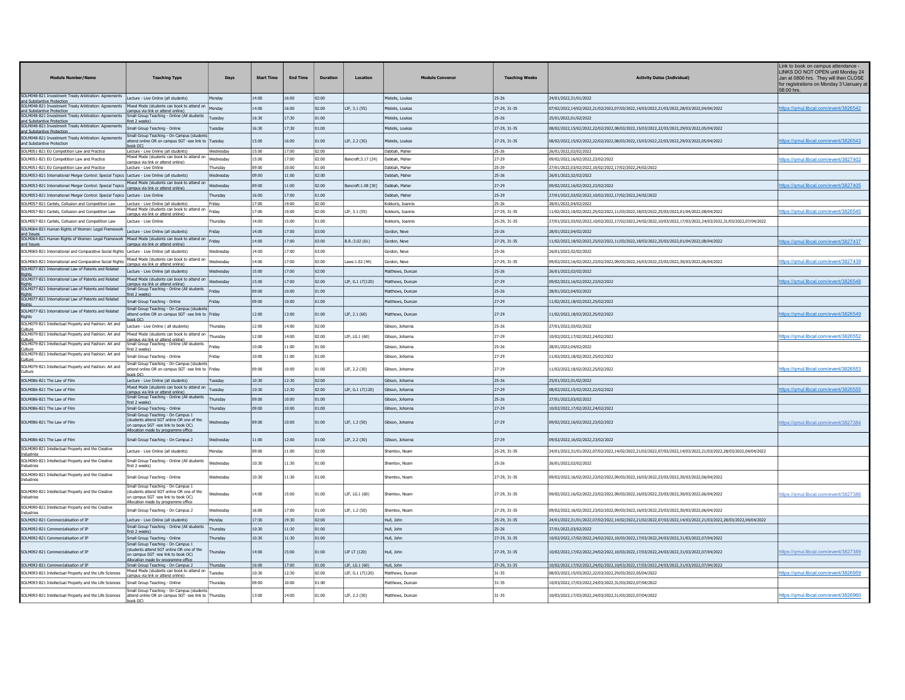| <b>Module Number/Name</b>                                                                                                       | <b>Teaching Type</b>                                                                                                    | Days             | <b>Start Time</b> | <b>End Time</b> | <b>Duration</b> | Location            | <b>Module Conveno</b> | <b>Teaching Weeks</b> | <b>Activity Dates (Individual)</b>                                                                             | Link to book on campus attendance<br>LINKS DO NOT OPEN until Monday 24<br>Jan at 0800 hrs. They will then CLOSE<br>for registrations on Monday 31 January a<br>08:00 hrs. |
|---------------------------------------------------------------------------------------------------------------------------------|-------------------------------------------------------------------------------------------------------------------------|------------------|-------------------|-----------------|-----------------|---------------------|-----------------------|-----------------------|----------------------------------------------------------------------------------------------------------------|---------------------------------------------------------------------------------------------------------------------------------------------------------------------------|
| SOLM048-B21 Investment Treaty Arbitration: Agreements  Lecture - Live Online (all students)<br>and Substantive Protection       |                                                                                                                         | <b>Monday</b>    | 14:00             | 16:00           | 02:00           |                     | Mistelis, Loukas      | 25-26                 | 24/01/2022,31/01/2022                                                                                          |                                                                                                                                                                           |
| OLM048-B21 In<br>vestment Treaty Arbitration: Agreements<br>nd Substantive Protectio                                            | Mixed Mode (students can book to attend or<br>campus via link or attend online                                          | Annday           | 14:00             | 16:00           | 02:00           | LIF. 3.1 (55)       | Mistelis, Loukas      | 27-29, 31-35          | 07/02/2022,14/02/2022,21/02/2022,07/03/2022,14/03/2022,21/03/2022,28/03/2022,04/04/2022                        | https://ɑmul.libcal.com/event/3826542                                                                                                                                     |
| SOLM048-B21 Investment Treaty Arbitration: Agreements Small Group Teaching - Online (All students<br>and Substantive Protection | first 2 weeks)                                                                                                          | Tuesday          | 16:30             | 17:30           | 01:00           |                     | Mistelis, Loukas      | 25-26                 | 25/01/2022,01/02/2022                                                                                          |                                                                                                                                                                           |
| 5OLM048-B21 Investment Treaty Arbitration: Agreements                                                                           | Small Group Teaching - Online                                                                                           | uesdav           | 16:30             | 17:30           | 01:00           |                     | listelis, Loukas      | 27-29, 31-35          | 08/02/2022,15/02/2022,22/02/2022,08/03/2022,15/03/2022,22/03/2022,29/03/2022,05/04/2022                        |                                                                                                                                                                           |
| nd Substantive Protection<br>SOLM048-B21 Investment Treaty Arbitration: Agreements                                              | Small Group Teaching - On Campus (students                                                                              | Tuesday          | 15:00             | 16:00           | 01:00           | LIF, 2.2 (30)       | istelis, Loukas       | 27-29, 31-35          | 08/02/2022,15/02/2022,22/02/2022,08/03/2022,15/03/2022,22/03/2022,29/03/2022,05/04/2022                        | ttps://gmul.libcal.com/event/3826543                                                                                                                                      |
| and Substantive Protection                                                                                                      | attend online OR on campus SGT -see link to<br>book OC)                                                                 | <b>Vednesday</b> | 15:00             | 17:00           | 02:00           |                     | Dabbah, Maher         | 25-26                 |                                                                                                                |                                                                                                                                                                           |
| SOLM051-B21 EU Competition Law and Practice<br>SOLM051-B21 EU Competition Law and Practice                                      | Lecture - Live Online (all students)<br>Mixed Mode (students can book to attend on                                      | Wednesdav        | 15:00             | 17:00           | 02:00           | Bancroft: 3.17 (24) | Dabbah, Maher         | 27-29                 | 26/01/2022,02/02/2022<br>09/02/2022.16/02/2022.23/02/2022                                                      | https://gmul.libcal.com/event/3827402                                                                                                                                     |
| OLM051-B21 EU Competition Law and Practice                                                                                      | campus via link or attend online)<br>Lecture - Live Online                                                              | hursday          | 09:00             | 10:00           | 01:00           |                     | Dabbah, Maher         | 25-29                 | 27/01/2022,03/02/2022,10/02/2022,17/02/2022,24/02/2022                                                         |                                                                                                                                                                           |
| SOLM053-B21 International Merger Control: Special Topics Lecture - Live Online (all students)                                   |                                                                                                                         | /ednesday        | 09:00             | 11:00           | 02:00           |                     | Dabbah, Maher         | 25-26                 | 26/01/2022,02/02/2022                                                                                          |                                                                                                                                                                           |
| SOLM053-B21 International Merger Control: Special Topics                                                                        | Mixed Mode (students can book to attend on<br>ampus via link or attend online)                                          | Wednesday        | nn:enl            | 11:00           | 02:00           | Bancroft:1.08 [30]  | Dabbah, Maher         | 27-29                 | 09/02/2022.16/02/2022.23/02/2022                                                                               | ttps://gmul.libcal.com/event/3827405                                                                                                                                      |
| SOLM053-B21 International Merger Control: Special Topics Lecture - Live Onlin                                                   |                                                                                                                         | Thursday         | 16:00             | 17:00           | 01:00           |                     | Dabbah, Maher         | 25-29                 | 27/01/2022,03/02/2022,10/02/2022,17/02/2022,24/02/2022                                                         |                                                                                                                                                                           |
| OLM057-B21 Cartels, Collusion and Competition Law                                                                               | Lecture - Live Online (all students)                                                                                    |                  | 17:00             | 19:00           | 02:00           |                     | Kokkoris, Toanni      | 25-26                 | 28/01/2022.04/02/2023                                                                                          |                                                                                                                                                                           |
| OLM057-B21 Cartels, Collusion and Competition Law                                                                               | Mixed Mode (students can book to attend on<br>nous via link or attend online)                                           | Friday           | 17:00             | 19:00           | 02:00           | LIF, 3.1 (55)       | Kokkoris, Ioannis     | 27-29, 31-35          | 11/02/2022,18/02/2022,25/02/2022,11/03/2022,18/03/2022,25/03/2022,01/04/2022,08/04/2022                        | ttps://gmul.libcal.com/event/3826545                                                                                                                                      |
| SOLM057-B21 Cartels, Collusion and Competition Law                                                                              | Lecture - Live Online                                                                                                   | hursday          | 14:00             | 15:00           | 01:00           |                     | Kokkoris, Ioannis     | 25-29, 31-35          | 227/01/2022.03/02/2022.10/02/2022.17/02/2022.24/02/2022.10/03/2022.17/03/2022.24/03/2022.31/03/2022.07/04/2022 |                                                                                                                                                                           |
| SOLM064-B21 Human Rights of Women: Legal Framework<br>and Issues                                                                | Lecture - Live Online (all students)                                                                                    | riday            | 14:00             | 17:00           | 03:00           |                     | Gordon, Neve          | 25-26                 | 28/01/2022,04/02/2022                                                                                          |                                                                                                                                                                           |
| SOLM064-B21 Human Rights of Women: Legal Framework Mixed Mode (students can book to attend on<br><b>nd Issues</b>               | mpus via link or attend online)                                                                                         | Fridav           | 14:00             | 17:00           | 03:00           | B.R.:3.02 (61)      | Gordon, Neve          | 27-29, 31-35          | 11/02/2022.18/02/2022.25/02/2022.11/03/2022.18/03/2022.25/03/2022.01/04/2022.08/04/2022                        | https://gmul.libcal.com/event/3827437                                                                                                                                     |
| SOLM065-B21 International and Comparative Social Rights Lecture - Live Online (all students)                                    |                                                                                                                         | Vednesday        | 14:00             | 17:00           | 03:00           |                     | Gordon, Neve          | 25-26                 | 26/01/2022.02/02/2022                                                                                          |                                                                                                                                                                           |
| SOLM065-B21 International and Comparative Social Rights                                                                         | lixed Mode (students can book to attend on<br>campus via link or attend online)                                         | Wednesday        | 14:00             | 17:00           | 03:00           | aws:1.02 (44)       | Gordon, Neve          | 27-29, 31-35          | 09/02/2022,16/02/2022,23/02/2022,09/03/2022,16/03/2022,23/03/2022,30/03/2022,06/04/2022                        | https://qmul.libcal.com/event/382743!                                                                                                                                     |
| SOLM077-B21 International Law of Patents and Related<br>inhte                                                                   | Lecture - Live Online (all students)                                                                                    | Vednesday        | 15:00             | 17:00           | 02:00           |                     | Matthews, Duncar      | 25-26                 | 26/01/2022,02/02/2022                                                                                          |                                                                                                                                                                           |
| SOLM077-B21 International Law of Patents and Related                                                                            | Mixed Mode (students can book to attend on<br>campus via link or attend online)                                         | Wednesday        | 15:00             | 17:00           | 02:00           | LIF, G.1 LT(120)    | Matthews, Duncar      | 27-29                 | 09/02/2022.16/02/2022.23/02/2022                                                                               | <u>ttps://qmul.libcal.com/event/3826548</u>                                                                                                                               |
| SOLM077-B21 International Law of Patents and Related                                                                            | Small Group Teaching - Online (All students<br>rst 7 weeks'                                                             | ridav            | 09:00             | 10:00           | 01:00           |                     | Matthews, Duncan      | 25-26                 | 28/01/2022.04/02/2022                                                                                          |                                                                                                                                                                           |
| SOLM077-B21 International Law of Patents and Related<br>ahts                                                                    | Small Group Teaching - Online                                                                                           | riday            | 09:00             | 10:00           | 01:00           |                     | Matthews, Duncan      | 27-29                 | 11/02/2022,18/02/2022,25/02/2022                                                                               |                                                                                                                                                                           |
| SOLM077-B21 International Law of Patents and Related<br>lights                                                                  | Small Group Teaching - On Campus (student<br>attend online OR on campus SGT -see link to Friday<br>ook OC)              |                  | 12:00             | 13:00           | 01:00           | LIF. 2.1 (60)       | Matthews, Duncan      | 27-29                 | 11/02/2022,18/02/2022,25/02/2022                                                                               | https://gmul.libcal.com/event/3826549                                                                                                                                     |
| 5OLM079-B21 Intellectual Property and Fashion: Art and                                                                          | Lecture - Live Online ( all students)                                                                                   | hursday          | 12:00             | 14:00           | 02:00           |                     | Sibson, Johanna       | 25-26                 | 27/01/2022.03/02/2022                                                                                          |                                                                                                                                                                           |
| SOLM079-B21 Intellectual Property and Fashion: Art and<br>ulture                                                                | Mixed Mode (students can book to attend on<br>campus via link or attend online)                                         | Thursday         | 12:00             | 14:00           | 02:00           | LIF, LG.1 (60)      | Gibson, Johanna       | 27-29                 | 10/02/2022,17/02/2022,24/02/2022                                                                               | https://qmul.libcal.com/event/3826552                                                                                                                                     |
| SOLM079-B21 Intellectual Property and Fashion: Art and                                                                          | Small Group Teaching - Online (All students<br>rst 2 weeks'                                                             | Fridav           | 10:00             | 11:00           | 01:00           |                     | Gibson, Johanna       | 25-26                 | 28/01/2022,04/02/2022                                                                                          |                                                                                                                                                                           |
| SOLM079-B21 Intellectual Property and Fashion: Art and<br>ulture                                                                | Small Group Teaching - Online                                                                                           |                  | 10:00             | 11:00           | 01:00           |                     | ibson, Johanna        | 27-29                 | 11/02/2022,18/02/2022,25/02/2022                                                                               |                                                                                                                                                                           |
| SOLM079-B21 Intellectual Property and Fashion: Art and<br>:ulture                                                               | Small Group Teaching - On Campus (students<br>attend online OR on campus SGT -see link to Friday<br>book OC)            |                  | 09:00             | 10:00           | 01:00           | LIF, 2.2 (30)       | Gibson, Johanna       | 27-29                 | 11/02/2022,18/02/2022,25/02/2022                                                                               | https://qmul.libcal.com/event/3826553                                                                                                                                     |
| SOLM086-B21 The Law of Film                                                                                                     | Lecture - Live Online (all students)                                                                                    | uesdav           | 10:30             | 12:30           | 02:00           |                     | Gibson, Johanna       | 25-26                 | 25/01/2022,01/02/2022                                                                                          |                                                                                                                                                                           |
| SOLM086-B21 The Law of Film                                                                                                     | Mixed Mode (students can book to attend on<br>campus via link or attend online)                                         | uesdav           | 10:30             | 12:30           | 02:00           | LIF. G.1 LT(120)    | Gibson, Johanna       | 27-29                 | 08/02/2022.15/02/2022.22/02/2022                                                                               | tps://gmul.libcal.com/event/3826555                                                                                                                                       |
| SOLM086-B21 The Law of Film                                                                                                     | Small Group Teaching - Online (All students<br>first 2 weeks)                                                           | Thursday         | 09:00             | 10:00           | 01:00           |                     | Gibson, Johanna       | 25-26                 | 27/01/2022.03/02/2022                                                                                          |                                                                                                                                                                           |
| SOLM086-B21 The Law of Film                                                                                                     | Small Group Teaching - Online<br>Small Group Teaching - On Campus 1                                                     | Thursdav         | 09:00             | 10:00           | 01:00           |                     | Gibson, Johanna       | 27-29                 | 10/02/2022.17/02/2022.24/02/2022                                                                               |                                                                                                                                                                           |
| SOLM086-B21 The Law of Film                                                                                                     | (students attend SGT online OR one of the<br>on campus SGT -see link to book OC)<br>Allocation made by programme office | Wednesdav        | 09:00             | 10:00           | 01:00           | LIF, 1.2 (50)       | Sibson, Johanna       | $27 - 29$             | 09/02/2022,16/02/2022,23/02/2022                                                                               | https://gmul.libcal.com/event/3827384                                                                                                                                     |
| SOLM086-B21 The Law of Film                                                                                                     | Small Group Teaching - On Campus 2                                                                                      | Wednesdav        | 11:00             | 12:00           | 01:00           | LIF. 2.2 (30)       | Gibson, Johanna       | 27-29                 | 09/02/2022.16/02/2022.23/02/2022                                                                               |                                                                                                                                                                           |
| SOLM090-B21 Intellectual Property and the Creative<br>dustrie                                                                   | Lecture - Live Online (all students)                                                                                    | londay           | 09:00             | 11:00           | 02:00           |                     | Shemtov, Noan         | 25-29, 31-35          | 24/01/2022,31/01/2022,07/02/2022,14/02/2022,21/02/2022,07/03/2022,14/03/2022,21/03/2022,28/03/2022,04/04/2022  |                                                                                                                                                                           |
| SOLM090-B21 Intellectual Property and the Creative<br>dustries                                                                  | Small Group Teaching - Online (All students<br>first 2 weeks)                                                           | lednesday        | 10:30             | 11:30           | 01:00           |                     | Shemtov, Noan         | $25-26$               | 26/01/2022.02/02/2022                                                                                          |                                                                                                                                                                           |
| SOLM090-B21 Intellectual Property and the Creative<br>dustries                                                                  | Small Group Teaching - Online<br>Small Group Teaching - On Campus 1                                                     | Vednesday        | 10:30             | 11:30           | 01:00           |                     | Shemtov, Noan         | 27-29, 31-35          | 09/02/2022,16/02/2022,23/02/2022,09/03/2022,16/03/2022,23/03/2022,30/03/2022,06/04/2022                        |                                                                                                                                                                           |
| SOLM090-B21 Intellectual Property and the Creative<br>dustries                                                                  | (students attend SGT online OR one of the<br>on campus SGT -see link to book OC)<br>Allocation made by programme offic  | Vednesdav        | 14:00             | 15:00           | 01:00           | LIF, LG.1 (60)      | Shemtov, Noan         | 27-29, 31-35          | 09/02/2022,16/02/2022,23/02/2022,09/03/2022,16/03/2022,23/03/2022,30/03/2022,06/04/2022                        | https://qmul.libcal.com/event/3827386                                                                                                                                     |
| SOLM090-B21 Intellectual Property and the Creative<br>dustries                                                                  | Small Group Teaching - On Campus 2                                                                                      | Wednesdav        | 16:00             | 17:00           | 01:00           | LIF. 1.2 (50)       | Shemtov, Noam         | 27-29, 31-35          | 09/02/2022.16/02/2022.23/02/2022.09/03/2022.16/03/2022.23/03/2022.30/03/2022.06/04/2022                        |                                                                                                                                                                           |
| SOLM092-B21 Commercialisation of IP                                                                                             | Lecture - Live Online (all students)                                                                                    | Monday           | 17:30             | 19:30           | 02:00           |                     | Hull, John            | 25-29, 31-35          | 24/01/2022,31/01/2022,07/02/2022,14/02/2022,21/02/2022,07/03/2022,14/03/2022,21/03/2022,28/03/2022,04/04/2022  |                                                                                                                                                                           |
| SOLM092-B21 Commercialisation of IP                                                                                             | Small Group Teaching - Online (All students<br>first 2 weeks)                                                           | Thursday         | 10:30             | 11:30           | 01:00           |                     | Hull, John            | 25-26                 | 27/01/2022.03/02/2022                                                                                          |                                                                                                                                                                           |
| SOLM092-B21 Commercialisation of IP                                                                                             | Small Group Teaching - Online                                                                                           | Thursday         | 10:30             | 11:30           | 01:00           |                     | Hull, John            | 27-29, 31-35          | 10/02/2022,17/02/2022,24/02/2022,10/03/2022,17/03/2022,24/03/2022,31/03/2022,07/04/2022                        |                                                                                                                                                                           |
| SOLM092-B21 Commercialisation of IP                                                                                             | Small Group Teaching - On Campus 1<br>(students attend SGT online OR one of the<br>on campus SGT -see link to book OC)  | hursday          | 14:00             | 15:00           | 01:00           | LIF LT (120)        | Hull, John            | 27-29, 31-35          | 10/02/2022.17/02/2022.24/02/2022.10/03/2022.17/03/2022.24/03/2022.31/03/2022.07/04/2022                        | ttps://gmul.libcal.com/event/3827389                                                                                                                                      |
| SOLM092-B21 Commercialisation of IP                                                                                             | Allocation made by programme office<br>Small Group Teaching - On Campus 2                                               | Thursday         | 16:00             | 17:00           | 01:00           | LIF, LG.1 (60)      | Hull, John            | 27-29, 31-35          | 10/02/2022,17/02/2022,24/02/2022,10/03/2022,17/03/2022,24/03/2022,31/03/2022,07/04/2022                        |                                                                                                                                                                           |
| SOLM093-B21 Intellectual Property and the Life Sciences                                                                         | lixed Mode (students can book to attend or<br><u>campus via link or attend online)</u>                                  | uesday           | 10:30             | 12:30           | 02:00           | LIF, G.1 LT(120)    | Matthews, Duncan      | 31-35                 | 08/03/2022,15/03/2022,22/03/2022,29/03/2022,05/04/2022                                                         | https://gmul.libcal.com/event/3826959                                                                                                                                     |
| SOLM093-B21 Intellectual Property and the Life Sciences                                                                         | Small Group Teaching - Online                                                                                           | hursday          | 09:00             | 10:00           | 01:00           |                     | Matthews, Duncan      | 31-35                 | 10/03/2022.17/03/2022.24/03/2022.31/03/2022.07/04/2022                                                         |                                                                                                                                                                           |
| SOLM093-B21 Intellectual Property and the Life Sciences                                                                         | Small Group Teaching - On Campus (students<br>attend online OR on campus SGT -see link to<br>hook OC)                   | Thursday         | 13:00             | 14:00           | 01:00           | LIF, 2.2 (30)       | Matthews, Duncan      | $31 - 35$             | 10/03/2022,17/03/2022,24/03/2022,31/03/2022,07/04/2022                                                         | https://gmul.libcal.com/event/3826960                                                                                                                                     |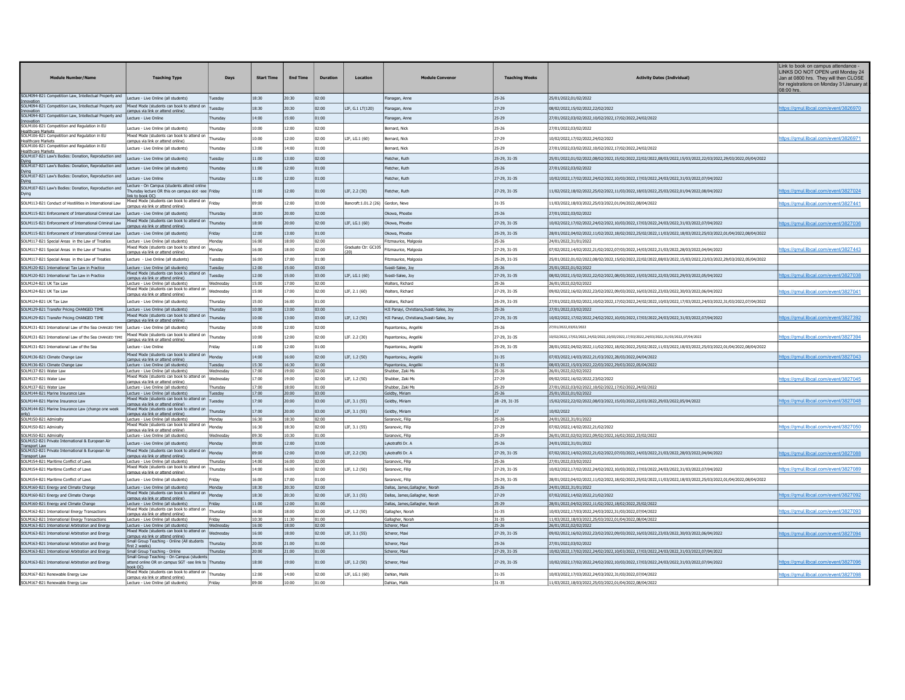| <b>Module Number/Name</b>                                                                            | <b>Teaching Type</b>                                                                                          | Days                  | <b>Start Time</b> | <b>End Time</b> | <b>Duration</b> | Location                          | <b>Module Convenor</b>                                                                 | <b>Teaching Weeks</b>     | <b>Activity Dates (Individual)</b>                                                                               | Link to book on campus attendance -<br>LINKS DO NOT OPEN until Monday 24<br>Jan at 0800 hrs. They will then CLOSE<br>for registrations on Monday 31 January at<br>08:00 hrs |
|------------------------------------------------------------------------------------------------------|---------------------------------------------------------------------------------------------------------------|-----------------------|-------------------|-----------------|-----------------|-----------------------------------|----------------------------------------------------------------------------------------|---------------------------|------------------------------------------------------------------------------------------------------------------|-----------------------------------------------------------------------------------------------------------------------------------------------------------------------------|
| SOLM094-B21 Competition Law, Intellectual Property and                                               | Lecture - Live Online (all students)                                                                          | Tuesday               | 18:30             | 20:30           | 02:00           |                                   | Flanagan, Anne                                                                         | $25 - 26$                 | 25/01/2022,01/02/2022                                                                                            |                                                                                                                                                                             |
| Innovation<br>SOLM094-B21 Competition Law, Intellectual Property and                                 | Mixed Mode (students can book to attend on<br>mpus via link or attend online                                  | Tuesday               | 18:30             | 20:30           | 02:00           | LIF. G.1 LT(120)                  | Flanagan, Anne                                                                         | $27 - 29$                 | 08/02/2022.15/02/2022.22/02/2022                                                                                 | https://gmul.libcal.com/event/3826970                                                                                                                                       |
| Innovation<br>SOLM094-B21 Competition Law, Intellectual Property and                                 | Lecture - Live Online                                                                                         | Thursda               | 14:00             | 15:00           | 01:00           |                                   | Flanagan, Anne                                                                         | 25-29                     | 27/01/2022,03/02/2022,10/02/2022,17/02/2022,24/02/2022                                                           |                                                                                                                                                                             |
| Innovatio<br>SOLM106-B21 Competition and Regulation in EU                                            | Lecture - Live Online (all students)                                                                          | Thursday              | 10:00             | 12:00           | 02:00           |                                   | Bernard, Nick                                                                          | $25 - 26$                 | 27/01/2022,03/02/2022                                                                                            |                                                                                                                                                                             |
| Healthcare Markets<br>SOLM106-B21 Competition and Regulation in EU                                   | Mixed Mode (students can book to attend or                                                                    |                       |                   |                 |                 |                                   |                                                                                        |                           |                                                                                                                  |                                                                                                                                                                             |
| Healthcare Markets<br>SOLM106-B21 Competition and Regulation in EU                                   | ampus via link or attend online)                                                                              | Thursda               | 10:00             | 12:00           | 02:00           | LIF, LG.1 (60)                    | Bernard, Nick                                                                          | $27 - 29$                 | 10/02/2022,17/02/2022,24/02/2022                                                                                 | https://qmul.libcal.com/event/3826971                                                                                                                                       |
| Healthcare Markets<br>SOLM107-B21 Law's Bodies: Donation, Reproduction and                           | Lecture - Live Online (all students)                                                                          | Thursda               | 13:00             | 14:00           | 01:00           |                                   | Bernard, Nick                                                                          | 25-29                     | 27/01/2022,03/02/2022,10/02/2022,17/02/2022,24/02/2022                                                           |                                                                                                                                                                             |
|                                                                                                      | Lecture - Live Online (all students)                                                                          | Tuesday               | 11:00             | 13:00           | 02:00           |                                   | Fletcher, Ruth                                                                         | 25-29, 31-35              | 25/01/2022.01/02/2022.08/02/2022.15/02/2022.22/02/2022.08/03/2022.15/03/2022.22/03/2022.29/03/2022.05/04/2022    |                                                                                                                                                                             |
| Dving<br>SOLM107-B21 Law's Bodies: Donation, Reproduction and                                        | ecture - Live Online (all students)                                                                           | Thursday              | 11:00             | 12:00           | 01:00           |                                   | Fletcher, Ruth                                                                         | $25 - 26$                 | 27/01/2022.03/02/2022                                                                                            |                                                                                                                                                                             |
| Dvina<br>SOLM107-B21 Law's Bodies: Donation, Reproduction and                                        | ecture - Live Online                                                                                          | Thursday              | 11:00             | 12:00           | 01:00           |                                   | Fletcher, Ruth                                                                         | 27-29, 31-35              | 10/02/2022,17/02/2022,24/02/2022,10/03/2022,17/03/2022,24/03/2022,31/03/2022,07/04/2022                          |                                                                                                                                                                             |
| SOLM107-B21 Law's Bodies: Donation, Reproduction and                                                 | Lecture - On Campus (students attend online                                                                   |                       |                   |                 |                 |                                   |                                                                                        |                           |                                                                                                                  |                                                                                                                                                                             |
| Dying                                                                                                | Thursday lecture OR this on campus slot -see<br>nk to book OC)                                                | Friday                | 11:00             | 12:00           | 01:00           | LIF, 2.2 (30)                     | Fletcher, Ruth                                                                         | 27-29, 31-35              | 11/02/2022,18/02/2022,25/02/2022,11/03/2022,18/03/2022,25/03/2022,01/04/2022,08/04/2022                          | ttps://gmul.libcal.com/event/3827024                                                                                                                                        |
| SOLM113-B21 Conduct of Hostilities in International Law                                              | Mixed Mode (students can book to attend on<br>mpus via link or attend online'                                 | Friday                | 09:00             | 12:00           | 03:00           | lancroft:1.01.2 (26) Gordon, Neve |                                                                                        | 31-35                     | 11/03/2022,18/03/2022,25/03/2022,01/04/2022,08/04/2022                                                           | ttps://gmul.libcal.com/event/3827441                                                                                                                                        |
| SOLM115-B21 Enforcement of International Criminal Law                                                | Lecture - Live Online (all students)                                                                          | hursda                | 18:00             | 20:00           | 02:00           |                                   | Okowa, Phoebe                                                                          | $25 - 26$                 | 27/01/2022.03/02/2022                                                                                            |                                                                                                                                                                             |
| SOLM115-B21 Enforcement of International Criminal Law                                                | red Mode (students can book to attend on                                                                      | Thursday              | 18:00             | 20:00           | 02:00           | LIF. LG.1 (60)                    | Okowa, Phoebe                                                                          | 27-29, 31-35              | 10/02/2022,17/02/2022,24/02/2022,10/03/2022,17/03/2022,24/03/2022,31/03/2022,07/04/2022                          | https://qmul.libcal.com/event/3827036                                                                                                                                       |
|                                                                                                      | apus via link or attend online                                                                                |                       |                   |                 |                 |                                   |                                                                                        |                           |                                                                                                                  |                                                                                                                                                                             |
| SOLM115-B21 Enforcement of International Criminal Law                                                | Lecture - Live Online (all students                                                                           | Friday                | 12:00<br>16:00    | 13:00<br>18:00  | 01:00<br>02:00  |                                   | Okowa, Phoebe                                                                          | 25-29, 31-35<br>25-26     | 28/01/2022,04/02/2022,11/02/2022,18/02/2022,25/02/2022,11/03/2022,18/03/2022,25/03/2022,01/04/2022,08/04/2022    |                                                                                                                                                                             |
| SOLM117-B21 Special Areas in the Law of Treaties<br>SOLM117-B21 Special Areas in the Law of Treaties | Lecture - Live Online (all students)<br>Mixed Mode (students can book to attend on                            | Monday<br>Mondav      | 16:00             | 18:00           | 02:00           | Graduate Ctr: GC105               | Fitzmaurice, Malgosia<br>Fitzmaurice, Malgosia                                         | 27-29, 31-35              | 24/01/2022.31/01/2022<br>07/02/2022.14/02/2022.21/02/2022.07/03/2022.14/03/2022.21/03/2022.28/03/2022.04/04/2022 | https://gmul.libcal.com/event/3827443                                                                                                                                       |
|                                                                                                      | nous via link or attend online)                                                                               |                       |                   |                 |                 |                                   |                                                                                        |                           |                                                                                                                  |                                                                                                                                                                             |
| SOLM117-B21 Special Areas in the Law of Treaties                                                     | ecture - Live Online (all students                                                                            | uesda                 | 16:00             | 17:00           | 01:00           |                                   | Fitzmaurice, Malgosia                                                                  | 25-29, 31-35              | 25/01/2022,01/02/2022,08/02/2022,15/02/2022,22/02/2022,08/03/2022,15/03/2022,22/03/2022,29/03/2022,05/04/2022    |                                                                                                                                                                             |
| SOLM120-B21 International Tax Law in Practice                                                        | Lecture - Live Online (all students)<br>Mixed Mode (students can book to attend or                            | Tuesday               | 12:00             | 15:00           | 03:00           |                                   | Svasti-Salee, Joy                                                                      | $25 - 26$                 | 25/01/2022,01/02/2022                                                                                            |                                                                                                                                                                             |
| SOLM120-B21 International Tax Law in Practice                                                        | ampus via link or attend online'                                                                              | Tuesday               | 12:00<br>15:00    | 15:00<br>17:00  | 03:00<br>02:00  | LIF, LG.1 (60)                    | Svasti-Salee, Joy                                                                      | 27-29, 31-35              | 08/02/2022,15/02/2022,22/02/2022,08/03/2022,15/03/2022,22/03/2022,29/03/2022,05/04/2022<br>26/01/2022.02/02/20   | ttps://qmul.libcal.com/event/382703                                                                                                                                         |
| SOLM124-B21 UK Tax Lav<br>SOLM124-B21 UK Tax Law                                                     | Lecture - Live Online (all students)<br>Mixed Mode (students can book to attend on                            | Wednesda<br>Wednesday | 15:00             | 17:00           | 02:00           | LIF, 2.1 (60)                     | Walters, Richard<br>Walters, Richard                                                   | $25 - 26$<br>27-29, 31-35 | 09/02/2022,16/02/2022,23/02/2022,09/03/2022,16/03/2022,23/03/2022,30/03/2022,06/04/2022                          | https://qmul.libcal.com/event/3827041                                                                                                                                       |
|                                                                                                      | smpus via link or attend online)                                                                              |                       |                   |                 |                 |                                   |                                                                                        |                           |                                                                                                                  |                                                                                                                                                                             |
| SOLM124-B21 UK Tax Lav                                                                               | Lecture - Live Online (all students)                                                                          | hursday               | 15:00             | 16:00<br>13:00  | 01:00           |                                   | Walters, Richard                                                                       | 25-29, 31-35              | 27/01/2022,03/02/2022,10/02/2022,17/02/2022,24/02/2022,10/03/2022,17/03/2022,24/03/2022,31/03/2022,07/04/2022    |                                                                                                                                                                             |
| SOLM129-B21 Transfer Pricing CHANGED TIME<br>SOLM129-B21 Transfer Pricing CHANGED TIME               | Lecture - Live Online (all students)<br>Mixed Mode (students can book to attend on                            | Thursdav<br>Thursday  | 10:00<br>10:00    | 13:00           | 03:00<br>03:00  | LIF, 1.2 (50)                     | HJI Panayi, Christiana, Svasti-Salee, Joy<br>HJI Panayi, Christiana, Svasti-Salee, Joy | 25-26<br>27-29, 31-35     | 27/01/2022.03/02/2022<br>10/02/2022,17/02/2022,24/02/2022,10/03/2022,17/03/2022,24/03/2022,31/03/2022,07/04/2022 | ttps://gmul.libcal.com/event/382739                                                                                                                                         |
|                                                                                                      | mpus via link or attend online                                                                                |                       |                   |                 |                 |                                   |                                                                                        |                           |                                                                                                                  |                                                                                                                                                                             |
| SOLM131-B21 International Law of the Sea CHANGED TIME                                                | Lecture - Live Online (all students)<br>ixed Mode (students can book to attend on                             | Thursday              | 10:00             | 12:00           | 02:00           |                                   | Papantoniou, Angeliki                                                                  | 25-26                     | 27/01/2022.03/02/2022                                                                                            |                                                                                                                                                                             |
| SOLM131-B21 International Law of the Sea CHANGED TIME                                                | smpus via link or attend online)                                                                              | Thursda               | 10:00             | 12:00           | 02:00           | LIF. 2.2 (30)                     | Papantoniou, Angeliki                                                                  | 27-29, 31-35              | 10/02/2022,17/02/2022,24/02/2022,10/03/2022,17/03/2022,24/03/2022,31/03/2022,07/04/2022                          | https://qmul.libcal.com/event/3827394                                                                                                                                       |
| SOLM131-B21 International Law of the Sea                                                             | Lecture - Live Online                                                                                         | Friday                | 11:00             | 12:00           | 01:00           |                                   | Papantoniou, Angeliki                                                                  | 25-29, 31-35              | 2022/04/02/2022.04/02/2022.11/02/2022.18/02/2022.25/02/2022.11/03/2022.18/03/2022.25/03/2022.01/04/2022.08/04    |                                                                                                                                                                             |
| SOLM136-B21 Climate Change Law                                                                       | Mixed Mode (students can book to attend on<br>campus via link or attend online)                               | Monday                | 14:00             | 16:00           | 02:00           | LIF. 1.2 (50)                     | Papantoniou, Angeliki                                                                  | 31-35                     | 07/03/2022,14/03/2022,21/03/2022,28/03/2022,04/04/2022                                                           | https://gmul.libcal.com/event/3827043                                                                                                                                       |
| SOLM136-B21 Climate Change Law                                                                       | Lecture - Live Online (all students)                                                                          | Tuesdav               | 15:30             | 16:30           | 01:00           |                                   | Papantoniou, Angelik                                                                   | 31-35                     | 08/03/2022,15/03/2022,22/03/2022,29/03/2022,05/04/2022                                                           |                                                                                                                                                                             |
| SOLM137-B21 Water Lay                                                                                | Lecture - Live Online (all students)<br>Mixed Mode (students can book to attend on                            | Wednesday             | 17:00             | 19:00           | 02:00           |                                   | Shubber, Zaki Ms                                                                       | 25-26                     | 26/01/2022.02/02/2022                                                                                            |                                                                                                                                                                             |
| SOLM137-B21 Water Lav<br>SOLM137-B21 Water Law                                                       | ampus via link or attend online)                                                                              | Wednesday             | 17:00<br>17:00    | 19:00<br>18:00  | 02:00<br>01:00  | LIF, 1.2 (50)                     | Shubber, Zaki Ms                                                                       | 27-29<br>25-29            | 09/02/2022,16/02/2022,23/02/2022                                                                                 | https://gmul.libcal.com/event/3827045                                                                                                                                       |
| SOLM144-B21 Marine Insurance Law                                                                     | Lecture - Live Online (all students<br>Lecture - Live Online (all students)                                   | Thursdav<br>Tuesday   | 17:00             | 20:00           | 03:00           |                                   | Shubber, Zaki Ms<br>Goldby, Miriam                                                     | 25-26                     | 27/01/2022,03/02/2022,10/02/2022,17/02/2022,24/02/2022<br>25/01/2022,01/02/2022                                  |                                                                                                                                                                             |
| SOLM144-B21 Marine Insurance Law                                                                     | Mixed Mode (students can book to attend on<br>campus via link or attend online)                               | Tuesday               | 17:00             | 20:00           | 03:00           | LIF, 3.1 (55)                     | Goldby, Miriam                                                                         | 28-29, 31-35              | 15/02/2022,22/02/2022,08/03/2022,15/03/2022,22/03/2022,29/03/2022,05/04/2022                                     | ttps://qmul.libcal.com/event/3827048                                                                                                                                        |
| SOLM144-B21 Marine Insurance Law (change one week                                                    | Mixed Mode (students can book to attend or                                                                    | Thursday              | 17:00             | 20:00           | 03:00           | LIF, 3.1 (55)                     | Goldby, Miriam                                                                         |                           | 10/02/2022                                                                                                       |                                                                                                                                                                             |
| only)<br>SOLM150-B21 Admiralty                                                                       | ampus via link or attend online)<br>Lecture - Live Online (all students)                                      | <b>Monday</b>         | 16:30             | 18:30           | 02:00           |                                   | Saranovic, Filip                                                                       | $25 - 26$                 | 24/01/2022,31/01/2022                                                                                            |                                                                                                                                                                             |
| SOLM150-B21 Admiralt                                                                                 | Mixed Mode (students can book to attend on                                                                    | Monday                | 16:30             | 18:30           | 02:00           | LIF, 3.1 (55)                     | Saranovic, Filip                                                                       | 27-29                     | 07/02/2022,14/02/2022,21/02/2022                                                                                 | https://gmul.libcal.com/event/3827050                                                                                                                                       |
| SOLM150-B21 Admiralty<br>SOLM152-B21 Private International & European Air                            | campus via link or attend online)<br>Lecture - Live Online (all students                                      | Vednesday             | 09:30             | 10:30           | 01:00           |                                   | Saranovic, Filip                                                                       | 25-29                     | 26/01/2022,02/02/2022,09/02/2022,16/02/2022,23/02/2022                                                           |                                                                                                                                                                             |
| <b>Transport Law</b>                                                                                 | Lecture - Live Online (all students)                                                                          | <b>Annday</b>         | 09:00             | 12:00           | 103:00          |                                   | I vkotrafiti Dr. A                                                                     | 25-26                     | 24/01/2022.31/01/2022                                                                                            |                                                                                                                                                                             |
| SOLM152-B21 Private International & European Air                                                     | Mixed Mode (students can book to attend or<br>ampus via link or attend online)                                | Monday                | 09:00             | 12:00           | 03:00           | LIF, 2.2 (30)                     | Lykotrafiti Dr. A                                                                      | 27-29, 31-35              | 07/02/2022,14/02/2022,21/02/2022,07/03/2022,14/03/2022,21/03/2022,28/03/2022,04/04/2022                          | ttps://qmul.libcal.com/event/3827088                                                                                                                                        |
| <b>Transport Law</b><br>SOLM154-B21 Maritime Conflict of Laws                                        | Lecture - Live Online (all students)                                                                          | Thursday              | 14:00             | 16:00           | 02:00           |                                   | Saranovic, Filip                                                                       | $25 - 26$                 | 27/01/2022.03/02/2022                                                                                            |                                                                                                                                                                             |
| SOLM154-B21 Maritime Conflict of Laws                                                                | Mixed Mode (students can book to attend on<br>campus via link or attend online'                               | Thursda               | 14:00             | 16:00           | 02:00           | LIF, 1.2 (50)                     | Saranovic, Filip                                                                       | 27-29, 31-35              | 10/02/2022.17/02/2022.24/02/2022.10/03/2022.17/03/2022.24/03/2022.31/03/2022.07/04/2022                          | <u>nttps://qmul.libcal.com/event/3827089</u>                                                                                                                                |
| SOLM154-B21 Maritime Conflict of Laws                                                                | Lecture - Live Online (all students)                                                                          | Fridav                | 16:00             | 17:00           | 01:00           |                                   | Saranovic, Filip                                                                       | 25-29, 31-35              | 28/01/2022,04/02/2022,11/02/2022,18/02/2022,25/02/2022,11/03/2022,18/03/2022,25/03/2022,01/04/2022,08/04/2022    |                                                                                                                                                                             |
| SOLM160-B21 Energy and Climate Change                                                                | Lecture - Live Online (all students)                                                                          | Monday                | 18:30             | 20:30           | 02:00           |                                   | Dallas, James, Gallagher, Norah                                                        | 25-26                     | 24/01/2022,31/01/2022                                                                                            |                                                                                                                                                                             |
| SOLM160-B21 Energy and Climate Change                                                                | Mixed Mode (students can book to attend on<br>ampus via link or attend online)                                | Mondav                | 18:30             | 20:30           | 02:00           | LIF. 3.1 (55)                     | Dallas, James, Gallagher, Norah                                                        | $27 - 29$                 | 07/02/2022,14/02/2022,21/02/2022                                                                                 | ttps://gmul.libcal.com/event/3827092                                                                                                                                        |
| SOLM160-B21 Energy and Climate Change                                                                | Lecture - Live Online (all students)                                                                          | Friday                | 11:00             | 12:00           | 01:00           |                                   | Dallas, James, Gallagher, Norah                                                        | $25 - 29$                 | 28/01/2022,04/02/2022,11/02/2022,18/02/2022,25/02/2022                                                           |                                                                                                                                                                             |
| SOLM162-B21 International Energy Transactions                                                        | Mixed Mode (students can book to attend on<br>camous via link or attend online)                               | Thursday              | 16:00             | 18:00           | 02:00           | LIF. 1.2 (50)                     | Gallagher, Norah                                                                       | $31 - 35$                 | 10/03/2022.17/03/2022.24/03/2022.31/03/2022.07/04/2022                                                           | https://qmul.libcal.com/event/3827093                                                                                                                                       |
| SOLM162-B21 International Energy Transactions                                                        | Lecture - Live Online (all students                                                                           |                       | 10:30             | 11:30           | 01:00           |                                   | Sallagher, Norah                                                                       | 31-35                     | 11/03/2022,18/03/2022,25/03/2022,01/04/2022,08/04/2022                                                           |                                                                                                                                                                             |
| SOLM163-B21 International Arbitration and Energy                                                     | Lecture - Live Online (all students)<br>Mixed Mode (students can book to attend on                            | Vednesday             | 16:00             | 18:00           | 02:00           |                                   | Scherer, Maxi                                                                          | 25-26                     | 26/01/2022.02/02/2022                                                                                            |                                                                                                                                                                             |
| SOLM163-B21 International Arbitration and Energy                                                     | campus via link or attend online)<br>Small Group Teaching - Online (All students                              | Wednesday             | 16:00             | 18:00           | 02:00           | LIF, 3.1 (55)                     | Scherer, Maxi                                                                          | 27-29, 31-35              | 09/02/2022,16/02/2022,23/02/2022,09/03/2022,16/03/2022,23/03/2022,30/03/2022,06/04/2022                          | ttps://gmul.libcal.com/event/3827094                                                                                                                                        |
| SOLM163-B21 International Arbitration and Energy                                                     | first 2 weeks)                                                                                                | Thursday              | 20:00             | 21:00           | 01:00           |                                   | Scherer, Maxi                                                                          | 25-26                     | 27/01/2022.03/02/2022                                                                                            |                                                                                                                                                                             |
| SOLM163-B21 International Arbitration and Energy                                                     | Small Group Teaching - Online<br>Small Group Teaching - On Campus (students                                   | Thursday              | 20:00             | 21:00           | 01:00           |                                   | Scherer, Maxi                                                                          | 27-29, 31-35              | 10/02/2022,17/02/2022,24/02/2022,10/03/2022,17/03/2022,24/03/2022,31/03/2022,07/04/2022                          |                                                                                                                                                                             |
| SOLM163-B21 International Arbitration and Energy                                                     | attend online OR on campus SGT -see link to Thursday<br>ook OC)<br>Mixed Mode (students can book to attend on |                       | 18:00             | 19:00           | 01:00           | LIF. 1.2 (50)                     | Scherer, Maxi                                                                          | 27-29, 31-35              | 10/02/2022,17/02/2022,24/02/2022,10/03/2022,17/03/2022,24/03/2022,31/03/2022,07/04/2022                          | ttps://gmul.libcal.com/event/382709                                                                                                                                         |
| SOLM167-B21 Renewable Energy Law                                                                     | campus via link or attend online)                                                                             | Thursday              | 12:00             | 14:00           | 02:00           | LIF. LG.1 (60)                    | Dahlan, Malik                                                                          | 31-35                     | 10/03/2022,17/03/2022,24/03/2022,31/03/2022,07/04/2022                                                           | nttps://gmul.libcal.com/event/3827098                                                                                                                                       |
| SOLM167-B21 Renewable Energy Law                                                                     | Lecture - Live Online (all students)                                                                          | Fridav                | 09:00             | $00-01$         | 01:00           |                                   | Dahlan, Malik                                                                          | 31-35                     | 11/03/2022,18/03/2022,25/03/2022,01/04/2022,08/04/2022                                                           |                                                                                                                                                                             |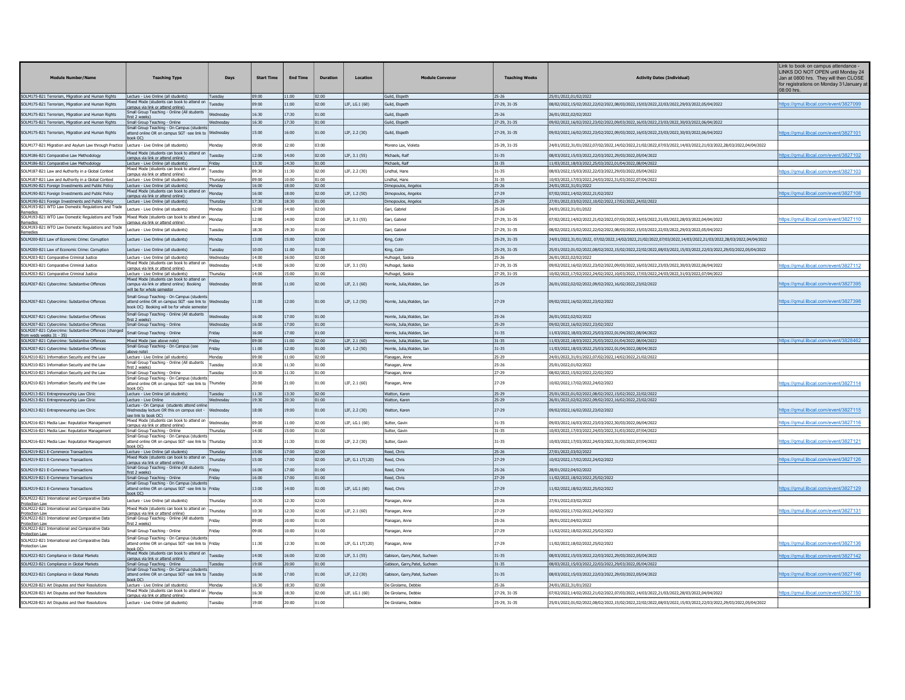| <b>Module Number/Name</b>                                                                               | <b>Teaching Type</b>                                                                                                                               | Days                 | <b>Start Time</b> | <b>End Time</b> | <b>Duration</b> | Location         | <b>Module Conveno</b>          | <b>Teaching Weeks</b> | <b>Activity Dates (Individual)</b>                                                                            | Link to book on campus attendance -<br>LINKS DO NOT OPEN until Monday 24<br>Jan at 0800 hrs. They will then CLOSE<br>for registrations on Monday 31 January at<br>08:00 hrs |
|---------------------------------------------------------------------------------------------------------|----------------------------------------------------------------------------------------------------------------------------------------------------|----------------------|-------------------|-----------------|-----------------|------------------|--------------------------------|-----------------------|---------------------------------------------------------------------------------------------------------------|-----------------------------------------------------------------------------------------------------------------------------------------------------------------------------|
| SOLM175-B21 Terrorism, Migration and Human Rights                                                       | Lecture - Live Online (all students)<br>fixed Mode (students can book to attend on                                                                 | Tuesday              | 09:00             | 1:00            | 02:00           |                  | Guild, Elspeth                 | $25 - 26$             | 25/01/2022,01/02/2022                                                                                         |                                                                                                                                                                             |
| SOLM175-B21 Terrorism, Migration and Human Rights                                                       | campus via link or attend online).                                                                                                                 | Tuesday              | 09:00             | 11:00           | 02:00           | LIF, LG.1 (60)   | Guild, Elspeth                 | 27-29, 31-35          | 08/02/2022,15/02/2022,22/02/2022,08/03/2022,15/03/2022,22/03/2022,29/03/2022,05/04/2022                       | https://gmul.libcal.com/event/3827099                                                                                                                                       |
| SOLM175-B21 Terrorism, Migration and Human Rights                                                       | Small Group Teaching - Online (All students<br>first 2 weeks)                                                                                      | Wednesdav            | 16:30             | 17:30           | 01:00           |                  | Guild, Elspeth                 | 25-26                 | 26/01/2022.02/02/2022                                                                                         |                                                                                                                                                                             |
| SOLM175-B21 Terrorism, Migration and Human Rights                                                       | Small Group Teaching - Online<br>Small Group Teaching - On Campus (student                                                                         | Wednesday            | 16:30             | 17:30           | 01:00           |                  | Guild, Elspeth                 | 27-29, 31-35          | 09/02/2022,16/02/2022,23/02/2022,09/03/2022,16/03/2022,23/03/2022,30/03/2022,06/04/2022                       |                                                                                                                                                                             |
| SOLM175-B21 Terrorism, Migration and Human Rights                                                       | attend online OR on campus SGT -see link to Wednesday<br>ook OC).                                                                                  |                      | 15:00             | 16:00           | 01:00           | LIF. 2.2 (30)    | Guild, Elspeth                 | 27-29, 31-35          | 09/02/2022.16/02/2022.23/02/2022.09/03/2022.16/03/2022.23/03/2022.30/03/2022.06/04/2022                       | ttps://amul.libcal.com/event/3827101                                                                                                                                        |
| SOLM177-B21 Migration and Asylum Law through Practice Lecture - Live Online (all students)              |                                                                                                                                                    | <b>fondav</b>        | 09:00             | 12:00           | 03:00           |                  | Moreno Lax, Violeta            | 25-29, 31-35          | 24/01/2022,31/01/2022,07/02/2022,14/02/2022,21/02/2022,07/03/2022,14/03/2022,21/03/2022,28/03/2022,04/04/2022 |                                                                                                                                                                             |
| SOLM186-B21 Comparative Law Methodology                                                                 | Mixed Mode (students can book to attend on<br>campus via link or attend online).                                                                   | Tuesdav              | 12:00             | 14:00           | 02:00           | LIF. 3.1 (55)    | Michaels, Ralf                 | 31-35                 | 08/03/2022.15/03/2022.22/03/2022.29/03/2022.05/04/2022                                                        | https://gmul.libcal.com/event/3827102                                                                                                                                       |
| SOLM186-B21 Comparative Law Methodology                                                                 | Lecture - Live Online (all students)                                                                                                               | riday                | 13:30             | 14:30           | 01:00           |                  | Michaels, Ralf                 | 31-35                 | 11/03/2022,18/03/2022,25/03/2022,01/04/2022,08/04/2022                                                        |                                                                                                                                                                             |
| SOLM187-B21 Law and Authority in a Global Context                                                       | lixed Mode (students can book to attend on<br>ampus via link or attend online'                                                                     | Tuesdav              | 09:30             | 11:30           | 02:00           | LIF. 2.2 (30)    | Lindhal, Hans                  | 31-35                 | 08/03/2022.15/03/2022.22/03/2022.29/03/2022.05/04/2022                                                        | https://qmul.libcal.com/event/3827103                                                                                                                                       |
| SOLM187-B21 Law and Authority in a Global Context                                                       | Lecture - Live Online (all students)                                                                                                               | Thursday             | 09:00             | 10:00           | 01:00           |                  | Lindhal, Hans                  | $31 - 35$             | 10/03/2022,17/03/2022,24/03/2022,31/03/2022,07/04/202                                                         |                                                                                                                                                                             |
| SOLM190-B21 Foreign Investments and Public Policy                                                       | Lecture - Live Online (all students)<br>lixed Mode (students can book to attend on                                                                 | Mondav               | 16:00             | 18:00           | 02:00           |                  | Dimopoulos, Angelo             | 25-26                 | 24/01/2022,31/01/2022                                                                                         |                                                                                                                                                                             |
| SOLM190-B21 Foreign Investments and Public Policy                                                       | ampus via link or attend online)                                                                                                                   | Monday               | 16:00             | 18:00           | 02:00           | LIF, 1.2 (50)    | Dimopoulos, Angelos            | 27-29                 | 07/02/2022,14/02/2022,21/02/2022                                                                              | ttps://qmul.libcal.com/event/3827108                                                                                                                                        |
| SOLM190-B21 Foreign Investments and Public Policy<br>SOLM193-B21 WTO Law Domestic Regulations and Trade | Lecture - Live Online (all students)                                                                                                               | hursda               | 17:30             | 18:30           | 01:00           |                  | Dimopoulos, Angelo             | $25 - 29$             | 27/01/2022,03/02/2022,10/02/2022,17/02/2022,24/02/2022                                                        |                                                                                                                                                                             |
| SOLM193-B21 WTO Law Domestic Regulations and Trade                                                      | Lecture - Live Online (all students)<br>Mixed Mode (students can book to attend on                                                                 | <b>londav</b>        | 12:00             | 4:00            | 02:00           |                  | Gari, Gabriel                  | 25-26                 | 24/01/2022.31/01/2022                                                                                         |                                                                                                                                                                             |
|                                                                                                         | <u>ampus via link or attend online)</u>                                                                                                            | Monday               | 12:00             | 14:00           | 02:00           | LIF, 3.1 (55)    | Gari, Gabriel                  | 27-29, 31-35          | 07/02/2022,14/02/2022,21/02/2022,07/03/2022,14/03/2022,21/03/2022,28/03/2022,04/04/2022                       | https://qmul.libcal.com/event/382711(                                                                                                                                       |
| SOLM193-B21 WTO Law Domestic Regulations and Trade<br>Remedies                                          | Lecture - Live Online (all students)                                                                                                               | Tuesdav              | 18:30             | 19:30           | 01:00           |                  | Gari, Gabriel                  | 27-29, 31-35          | 08/02/2022.15/02/2022.22/02/2022.08/03/2022.15/03/2022.22/03/2022.29/03/2022.05/04/2022                       |                                                                                                                                                                             |
| SOLM200-B21 Law of Economic Crime: Corruption                                                           | Lecture - Live Online (all students)                                                                                                               | Mondav               | 13:00             | 15:00           | 02:00           |                  | King, Colin                    | 25-29, 31-35          | 24/01/2022.31/01/2022.07/02/2022.14/02/2022.21/02/2022.07/03/2022.14/03/2022.21/03/2022.28/03/2022.04/04/2022 |                                                                                                                                                                             |
| SOLM200-B21 Law of Economic Crime: Corruption                                                           | Lecture - Live Online (all students                                                                                                                | uesday               | 10:00             | 11:00           | 01:00           |                  | King, Colin                    | 25-29, 31-35          | 25/01/2022,01/02/2022,08/02/2022,15/02/2022,22/02/2022,08/03/2022,15/03/2022,22/03/2022,29/03/2022,05/04/2022 |                                                                                                                                                                             |
| SOLM203-B21 Comparative Criminal Justice                                                                | Lecture - Live Online (all students)                                                                                                               | Wednesday            | 14:00             | 6:00            | 02:00           |                  | Hufnagel, Saskia               | 25-26                 | 26/01/2022.02/02/2022                                                                                         |                                                                                                                                                                             |
| SOLM203-B21 Comparative Criminal Justice                                                                | Mixed Mode (students can book to attend o<br>campus via link or attend online)                                                                     | Wednesday            | 14:00             | 16:00           | 02:00           | LIF, 3.1 (55)    | Hufnagel, Saskia               | 27-29, 31-35          | 09/02/2022,16/02/2022,23/02/2022,09/03/2022,16/03/2022,23/03/2022,30/03/2022,06/04/2022                       | https://gmul.libcal.com/event/3827112                                                                                                                                       |
| SOLM203-B21 Comparative Criminal Justice                                                                | Lecture - Live Online (all students)                                                                                                               | hursday              | 14:00             | 15:00           | 01:00           |                  | Hufnagel, Saskia               | 27-29, 31-35          | 10/02/2022,17/02/2022,24/02/2022,10/03/2022,17/03/2022,24/03/2022,31/03/2022,07/04/2022                       |                                                                                                                                                                             |
| SOLM207-B21 Cybercrime: Substantive Offences                                                            | Mixed Mode (students can book to attend on<br>campus via link or attend online) Booking<br>vill be for whole semeste                               | Vednesday            | 09:00             | 1:00            | 02:00           | LIF, 2.1 (60)    | Iornle, Julia, Walden, Ian     | 25-29                 | 26/01/2022,02/02/2022,09/02/2022,16/02/2022,23/02/2022                                                        | ttps://gmul.libcal.com/event/3827395                                                                                                                                        |
| SOLM207-B21 Cybercrime: Substantive Offences                                                            | Small Group Teaching - On Campus (students<br>attend online OR on campus SGT -see link to Wednesday<br>book OC) Booking will be for whole semester |                      | 11:00             | 12:00           | 01:00           | LIF. 1.2 (50)    | Hornle, Julia, Walden, Ian     | 27-29                 | 09/02/2022.16/02/2022.23/02/2022                                                                              | ttps://qmul.libcal.com/event/382739                                                                                                                                         |
| SOLM207-B21 Cybercrime: Substantive Offences                                                            | Small Group Teaching - Online (All students<br>first 2 weeks)                                                                                      | Wednesdav            | 16:00             | 17:00           | 01:00           |                  | Hornle, Julia, Walden, Ian     | 25-26                 | 26/01/2022.02/02/2022                                                                                         |                                                                                                                                                                             |
| SOLM207-B21 Cybercrime: Substantive Offences                                                            | Small Group Teaching - Online                                                                                                                      | Wednesday            | 16:00             | 17:00           | 01:00           |                  | Hornle, Julia, Walden, Iar     | $25 - 29$             | 09/02/2022,16/02/2022,23/02/2022                                                                              |                                                                                                                                                                             |
| 5OLM207-B21 Cybercrime: Substantive Offences (changed<br>from weds weeks 31 - 35)                       | Small Group Teaching - Online                                                                                                                      | Fridav               | 16:00             | 17:00           | 01:00           |                  | Hornle, Julia, Walden, Ian     | 31-35                 | 11/03/2022,18/03/2022,25/03/2022,01/04/2022,08/04/2022                                                        |                                                                                                                                                                             |
| SOLM207-B21 Cybercrime: Substantive Offences                                                            | Mixed Mode (see above note)                                                                                                                        | Friday               | 09:00             | 11:00           | 02:00           | LIF. 2.1 (60)    | Hornle, Julia Walden, Tan      | 31-35                 | 11/03/2022.18/03/2022.25/03/2022.01/04/2022.08/04/2022                                                        | https://gmul.libcal.com/event/3828462                                                                                                                                       |
| SOLM207-B21 Cybercrime: Substantive Offences                                                            | Small Group Teaching - On Campus (see<br>above note)                                                                                               | riday                | 11:00             | 12:00           | 01:00           | LIF, 1.2 (50)    | lornle, Julia, Walden, Ian     | 31-35                 | 11/03/2022,18/03/2022,25/03/2022,01/04/2022,08/04/2022                                                        |                                                                                                                                                                             |
| SOLM210-B21 Information Security and the Law                                                            | Lecture - Live Online (all students)<br>Small Group Teaching - Online (All students                                                                | Monday               | 09:00             | 1:00            | 02:00           |                  | Flanagan, Anne                 | 25-29                 | 24/01/2022,31/01/2022,07/02/2022,14/02/2022,21/02/2022                                                        |                                                                                                                                                                             |
| SOLM210-B21 Information Security and the Law                                                            | first 2 weeks)                                                                                                                                     | Tuesday              | 10:30             | 11:30           | 01:00           |                  | Flanagan, Anne                 | 25-26                 | 25/01/2022,01/02/2022                                                                                         |                                                                                                                                                                             |
| SOLM210-B21 Information Security and the Law                                                            | Small Group Teaching - Online<br>Small Group Teaching - On Campus (student                                                                         | uesdav               | 10:30             | 11:30           | 01:00           |                  | Flanagan, Anne                 | 27-29                 | 08/02/2022,15/02/2022,22/02/2022                                                                              |                                                                                                                                                                             |
| SOLM210-B21 Information Security and the Law                                                            | attend online OR on campus SGT -see link to                                                                                                        | Thursday             | 20:00             | 21:00           | 01:00           | LIF, 2.1 (60)    | lanagan, Anne                  | 27-29                 | 10/02/2022,17/02/2022,24/02/2022                                                                              | https://gmul.libcal.com/event/3827114                                                                                                                                       |
| SOLM213-B21 Entrepreneurship Law Clinic                                                                 | hook OC)<br>Lecture - Live Online (all students)                                                                                                   | Tuesday              | 11:30             | 13:30           | 02:00           |                  | Watton, Karen                  | 25-29                 | 25/01/2022,01/02/2022,08/02/2022,15/02/2022,22/02/2022                                                        |                                                                                                                                                                             |
| SOLM213-B21 Entrepreneurship Law Clinic                                                                 | Lecture - Live Online                                                                                                                              | Wednesday            | 19:30             | 20:30           | 01:00           |                  | Watton, Karer                  | $25 - 29$             | 26/01/2022,02/02/2022,09/02/2022,16/02/2022,23/02/2022                                                        |                                                                                                                                                                             |
| SOLM213-B21 Entrepreneurship Law Clinic                                                                 | Lecture - On Campus (students attend onlin<br>Wednesday lecture OR this on campus slot -<br>see link to book OC)                                   | Wednesday            | 18:00             | 19:00           | 01:00           | LIF. 2.2 (30)    | Watton, Karen                  | 27-29                 | 09/02/2022.16/02/2022.23/02/2022                                                                              | ttps://gmul.libcal.com/event/3827115                                                                                                                                        |
| SOLM216-B21 Media Law: Reputation Management                                                            | Mixed Mode (students can book to attend on<br>ampus via link or attend online).                                                                    | Wednesdav            | 09:00             | 1:00            | 02:00           | LIF, LG.1 (60)   | Sutter, Gavin                  | 31-35                 | 09/03/2022,16/03/2022,23/03/2022,30/03/2022,06/04/2022                                                        | ttps://gmul.libcal.com/event/3827116                                                                                                                                        |
| SOLM216-B21 Media Law: Reputation Management                                                            | Small Group Teaching - Online                                                                                                                      | Thursdav             | 14:00             | 15:00           | 01:00           |                  | Sutter, Gavin                  | $31 - 35$             | 10/03/2022,17/03/2022,24/03/2022,31/03/2022,07/04/2022                                                        |                                                                                                                                                                             |
| SOLM216-B21 Media Law: Reputation Management                                                            | Small Group Teaching - On Campus (student<br>attend online OR on campus SGT -see link to Thursday                                                  |                      | 10:30             | 11:30           | 01:00           | LIF, 2.2 (30)    | Sutter, Gavir                  | 31-35                 | 10/03/2022,17/03/2022,24/03/2022,31/03/2022,07/04/2022                                                        | ttps://amul.libcal.com/event/3827121                                                                                                                                        |
|                                                                                                         | book OC)                                                                                                                                           |                      |                   | 17:00           | 02:00           |                  | Reed, Chris                    |                       |                                                                                                               |                                                                                                                                                                             |
| SOLM219-B21 E-Commerce Transactions<br>SOLM219-B21 E-Commerce Transactions                              | Lecture - Live Online (all students)<br>Mixed Mode (students can book to attend on                                                                 | Thursday<br>Thursday | 15:00<br>15:00    | 17:00           | 02:00           | LIF, G.1 LT(120) | Reed, Chris                    | $25 - 26$<br>27-29    | 27/01/2022,03/02/2022<br>10/02/2022,17/02/2022,24/02/2022                                                     | ttps://gmul.libcal.com/event/3827126                                                                                                                                        |
|                                                                                                         | campus via link or attend online)<br>Small Group Teaching - Online (All students                                                                   |                      |                   |                 |                 |                  |                                |                       |                                                                                                               |                                                                                                                                                                             |
| SOLM219-B21 E-Commerce Transactions                                                                     | first 2 weeks)                                                                                                                                     | Friday               | 16:00             | 17:00           | 01:00           |                  | leed, Chris                    | $25 - 26$             | 28/01/2022,04/02/2022                                                                                         |                                                                                                                                                                             |
| SOLM219-B21 E-Commerce Transactions                                                                     | Small Group Teaching - Online<br>Small Group Teaching - On Campus (students                                                                        | Friday               | 16:00             | 17:00           | 01:00           |                  | Reed, Chris                    | 27-29                 | 11/02/2022,18/02/2022,25/02/2022                                                                              |                                                                                                                                                                             |
| SOLM219-B21 E-Commerce Transactions                                                                     | attend online OR on campus SGT -see link to Friday                                                                                                 |                      | 13:00             | 14:00           | 01:00           | LIF, LG.1 (60)   | Reed, Chris                    | 27-29                 | 11/02/2022,18/02/2022,25/02/2022                                                                              | ttps://gmul.libcal.com/event/3827129                                                                                                                                        |
| SOLM222-B21 International and Comparative Data<br>Protection Law                                        | Lecture - Live Online (all students)                                                                                                               | hursday              | 10:30             | 12:30           | 02:00           |                  | Flanagan, Anne                 | 25-26                 | 27/01/2022.03/02/2022                                                                                         |                                                                                                                                                                             |
| SOLM222-B21 International and Comparative Data<br>otection Law                                          | Mixed Mode (students can book to attend on<br>ampus via link or attend online)                                                                     | Thursday             | 10:30             | 12:30           | 02:00           | LIF, 2.1 (60)    | lanagan, Anne                  | 27-29                 | 10/02/2022,17/02/2022,24/02/2022                                                                              | https://gmul.libcal.com/event/3827131                                                                                                                                       |
| SOLM222-B21 International and Comparative Data                                                          | Small Group Teaching - Online (All students                                                                                                        | Friday               | 00:00             | 10:00           | 01:00           |                  | lanagan, Anne                  | 25-26                 | 28/01/2022.04/02/2022                                                                                         |                                                                                                                                                                             |
| rotection Law<br>SOLM222-B21 International and Comparative Data<br>Protection Law                       | st 7 weeks)<br>Small Group Teaching - Online                                                                                                       | ridav                | 09:00             | 10:00           | 01:00           |                  | Flanagan, Anne                 | 27-29                 | 11/02/2022,18/02/2022,25/02/2022                                                                              |                                                                                                                                                                             |
| SOLM222-B21 International and Comparative Data<br>rotection Law                                         | Small Group Teaching - On Campus (student<br>ttend online OR on campus SGT -see link to Friday                                                     |                      | 11:30             | 12:30           | 01:00           | LIF, G.1 LT(120) | anagan, Anne                   | 27-29                 | 11/02/2022,18/02/2022,25/02/2022                                                                              | ttps://gmul.libcal.com/event/3827136                                                                                                                                        |
| SOLM223-B21 Compliance in Global Markets                                                                | Mixed Mode (students can book to attend on                                                                                                         | Tuesday              | 14:00             | 16:00           | 02:00           | LIF, 3.1 (55)    | Gabison, Garry, Patel, Sucheen | 31-35                 | 08/03/2022,15/03/2022,22/03/2022,29/03/2022,05/04/2022                                                        | ttps://amul.libcal.com/event/3827142                                                                                                                                        |
| SOLM223-B21 Compliance in Global Markets                                                                | campus via link or attend online)<br>Small Group Teaching - Online                                                                                 | uesday               | 19:00             | 20:00           | 01:00           |                  | Gabison, Garry, Patel, Suchee  | 31-35                 | 08/03/2022,15/03/2022,22/03/2022,29/03/2022,05/04/2022                                                        |                                                                                                                                                                             |
| SOLM223-B21 Compliance in Global Markets                                                                | Small Group Teaching - On Campus (studen<br>attend online OR on campus SGT -see link to                                                            | <b>Tuesday</b>       | 16:00             | 17:00           | 01:00           | LIF, 2.2 (30)    | Gabison, Garry, Patel, Sucheer | 31-35                 | 08/03/2022,15/03/2022,22/03/2022,29/03/2022,05/04/2022                                                        | https://qmul.libcal.com/event/3827146                                                                                                                                       |
| SOLM228-B21 Art Disputes and their Resolutions                                                          | book OC)<br>Lecture - Live Online (all students)                                                                                                   | Monday               | 16:30             | 18:30           | 02:00           |                  | De Girolamo, Debbie            | $25 - 26$             | 24/01/2022,31/01/2022                                                                                         |                                                                                                                                                                             |
| SOLM228-B21 Art Disputes and their Resolutions                                                          | Mixed Mode (students can book to attend or                                                                                                         | Monday               | 16:30             | 18:30           | 02:00           | LIF, LG.1 (60)   | De Girolamo, Debbie            | 27-29, 31-35          | 07/02/2022,14/02/2022,21/02/2022,07/03/2022,14/03/2022,21/03/2022,28/03/2022,04/04/2022                       | https://gmul.libcal.com/event/3827150                                                                                                                                       |
|                                                                                                         | ampus via link or attend online)                                                                                                                   |                      |                   |                 |                 |                  |                                |                       |                                                                                                               |                                                                                                                                                                             |
| SOLM228-B21 Art Disputes and their Resolutions                                                          | Lecture - Live Online (all students)                                                                                                               | uesdav               | 19:00             | 20:00           | 01:00           |                  | De Girolamo, Debbie            | 25-29, 31-35          | 25/01/2022.01/02/2022.08/02/2022.15/02/2022.22/02/2022.08/03/2022.15/03/2022.22/03/2022.29/03/2022.05/04/2022 |                                                                                                                                                                             |